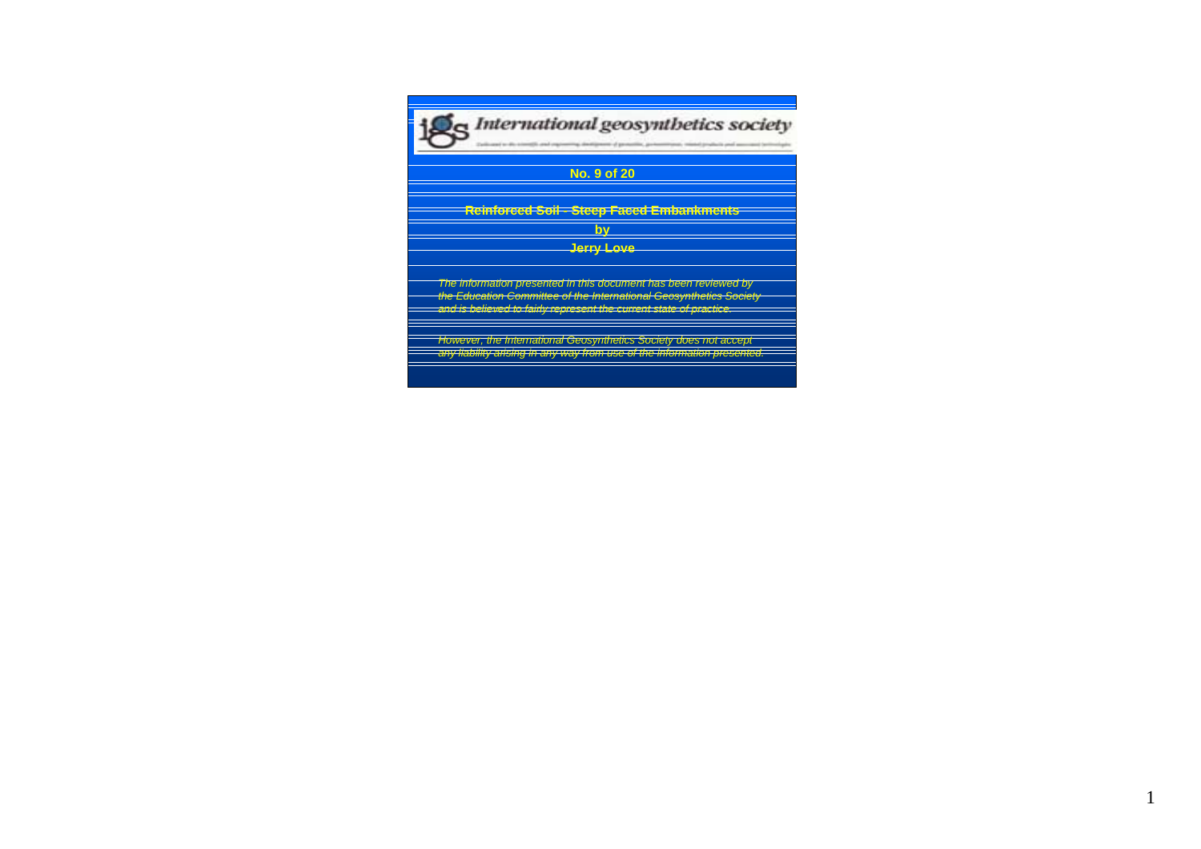

**Reinforced Soil - Steep Faced Embankments by Jerry Love**

The information presented in this document has been reviewed by the Education Committee of the International Geosynthetics Society and is believed to fairly represent the current state of practice.

However, the International Geosynthetics Society does not accept any liability arising in any way from use of the information presented.

1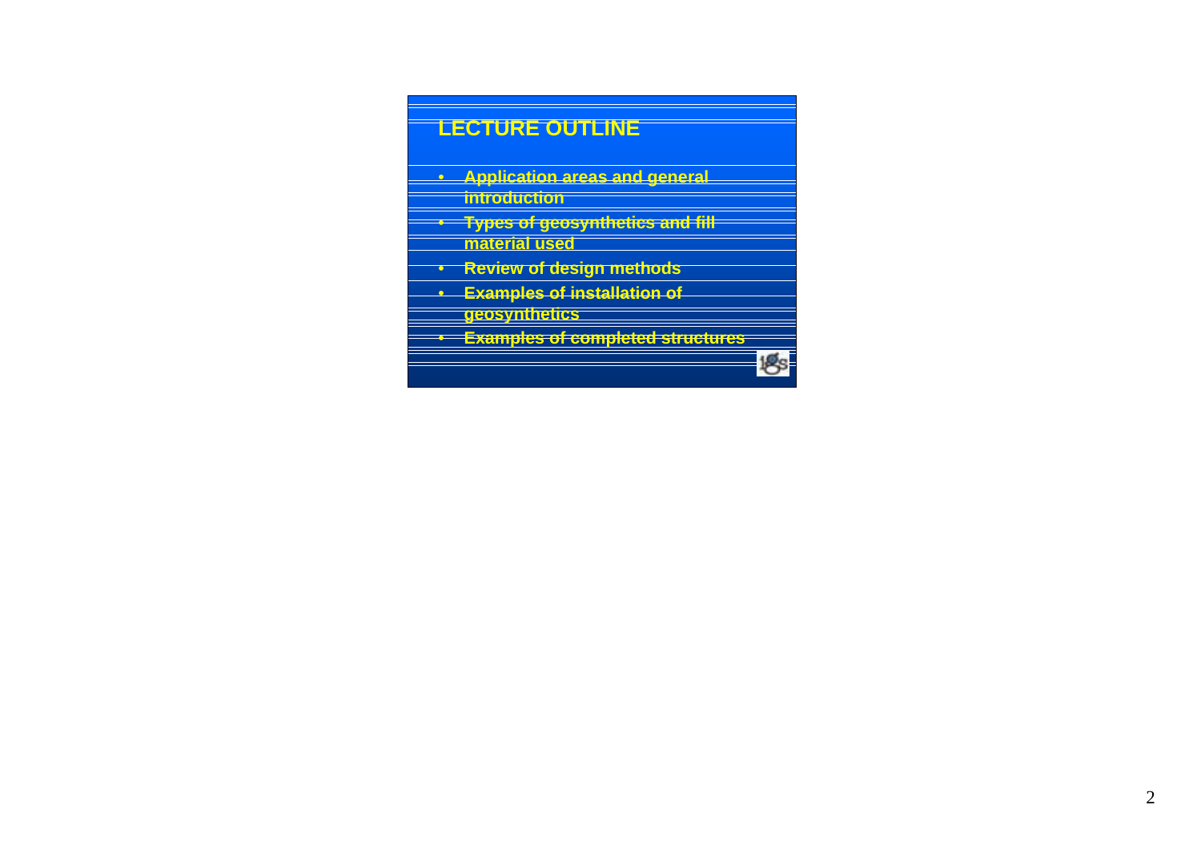# **LECTURE OUTLINE**

- **Application areas and general introduction**
- **Types of geosynthetics and fill material used**
- **Review of design methods**
- **Examples of installation of geosynthetics**
- **Examples of completed structures**

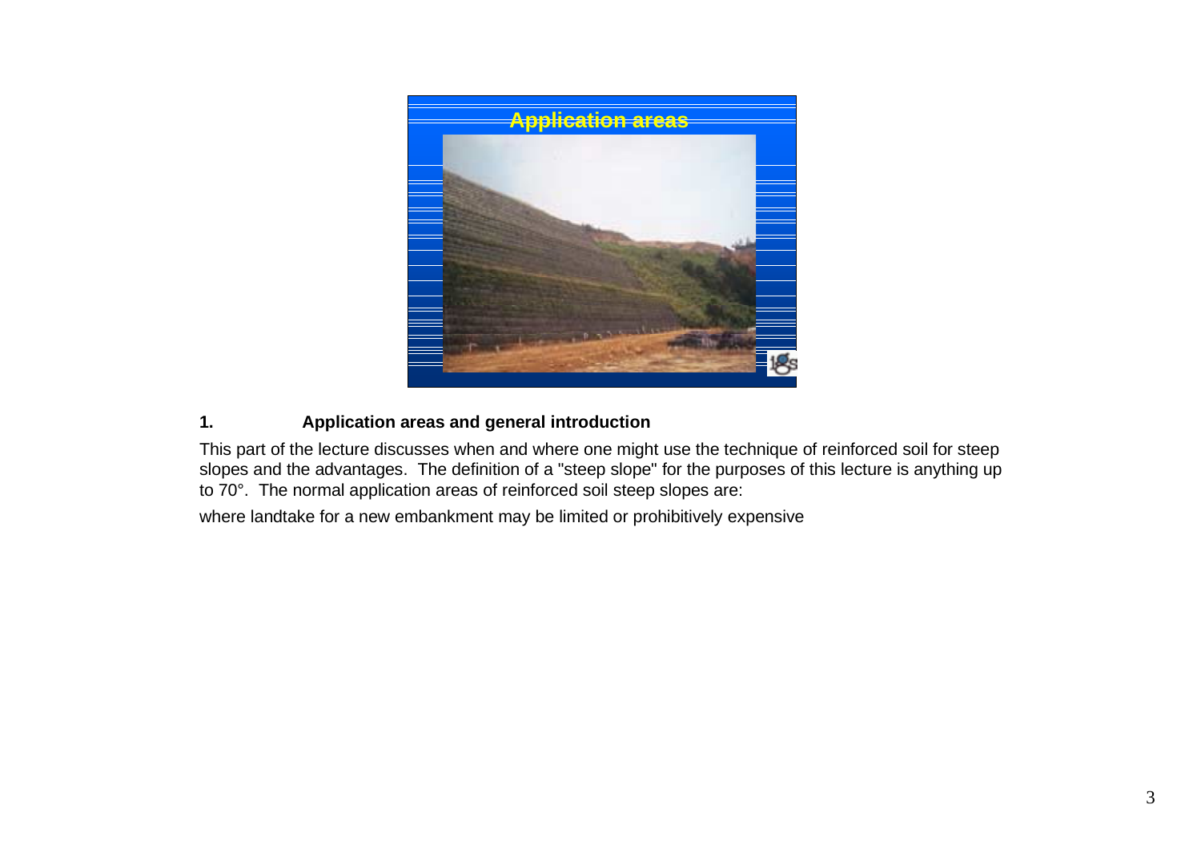

# **1. Application areas and general introduction**

This part of the lecture discusses when and where one might use the technique of reinforced soil for steep slopes and the advantages. The definition of a "steep slope" for the purposes of this lecture is anything up to 70°. The normal application areas of reinforced soil steep slopes are:

where landtake for a new embankment may be limited or prohibitively expensive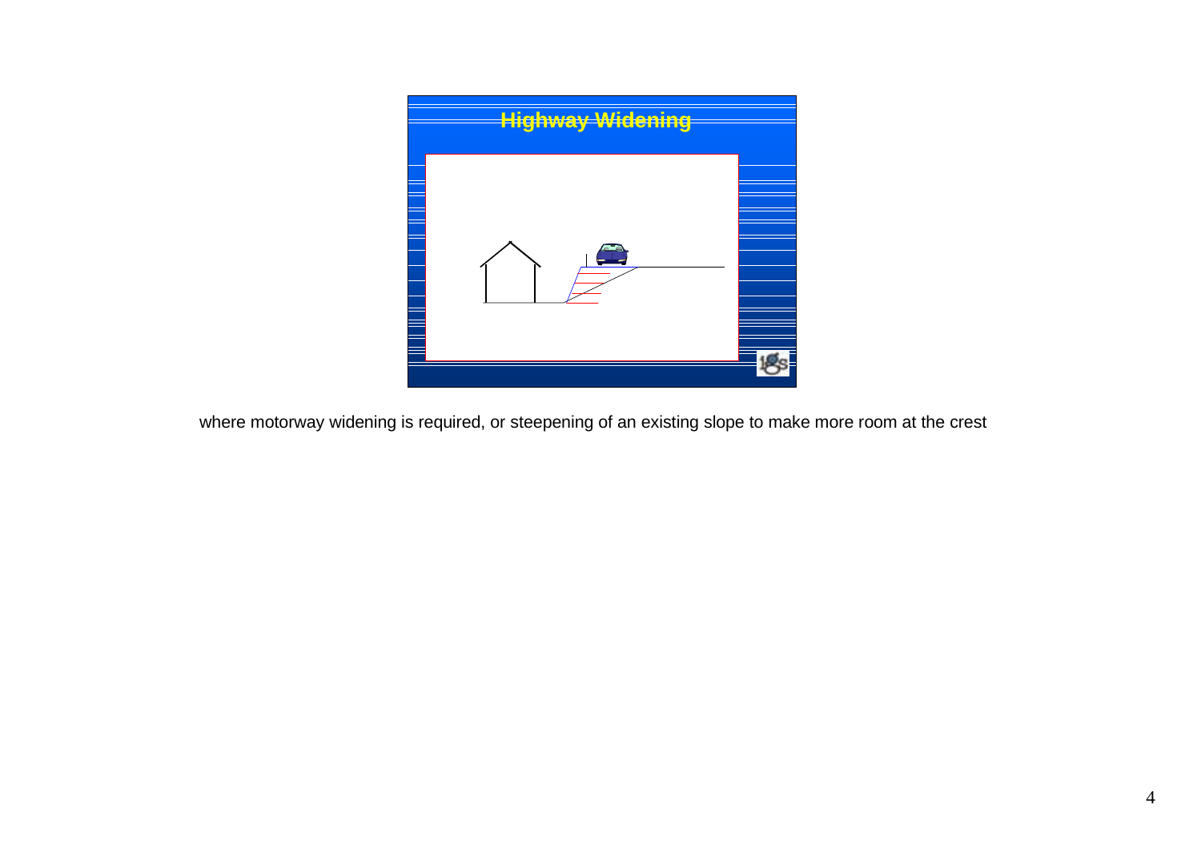

where motorway widening is required, or steepening of an existing slope to make more room at the crest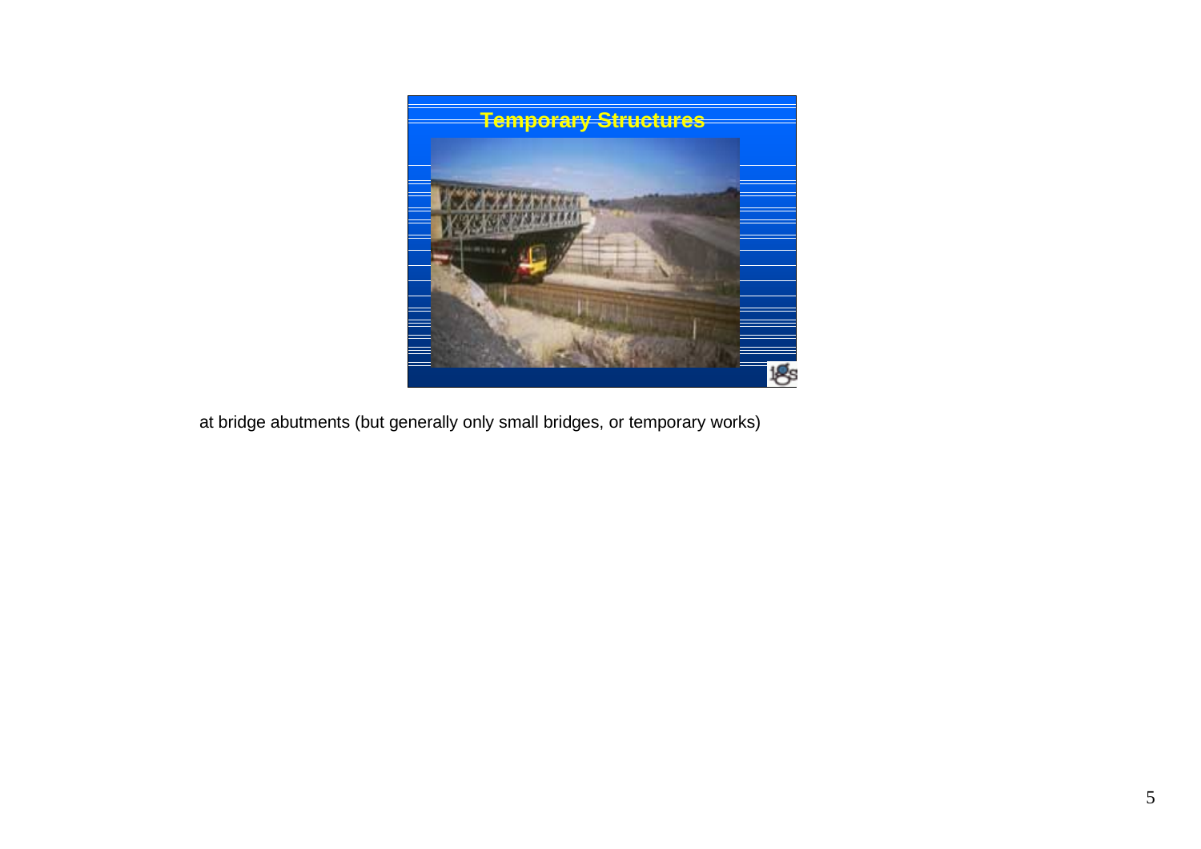

at bridge abutments (but generally only small bridges, or temporary works)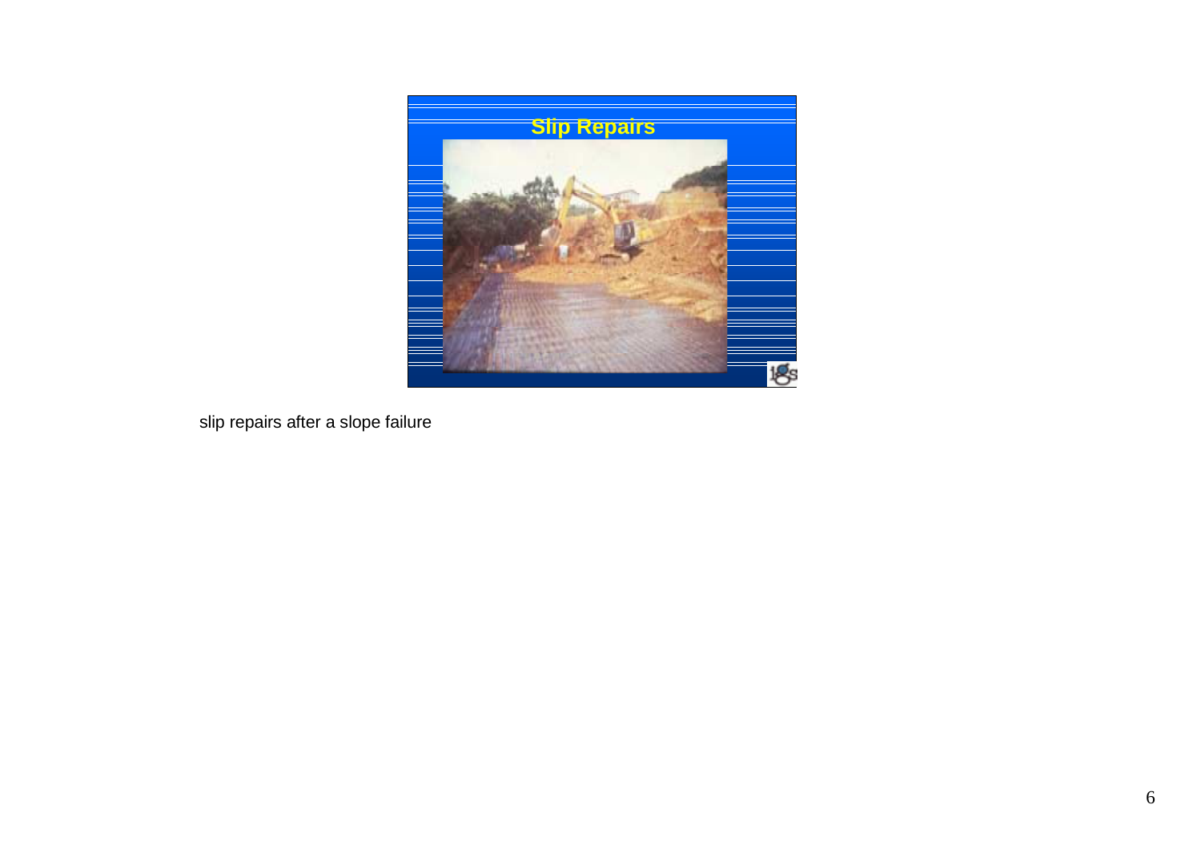

slip repairs after a slope failure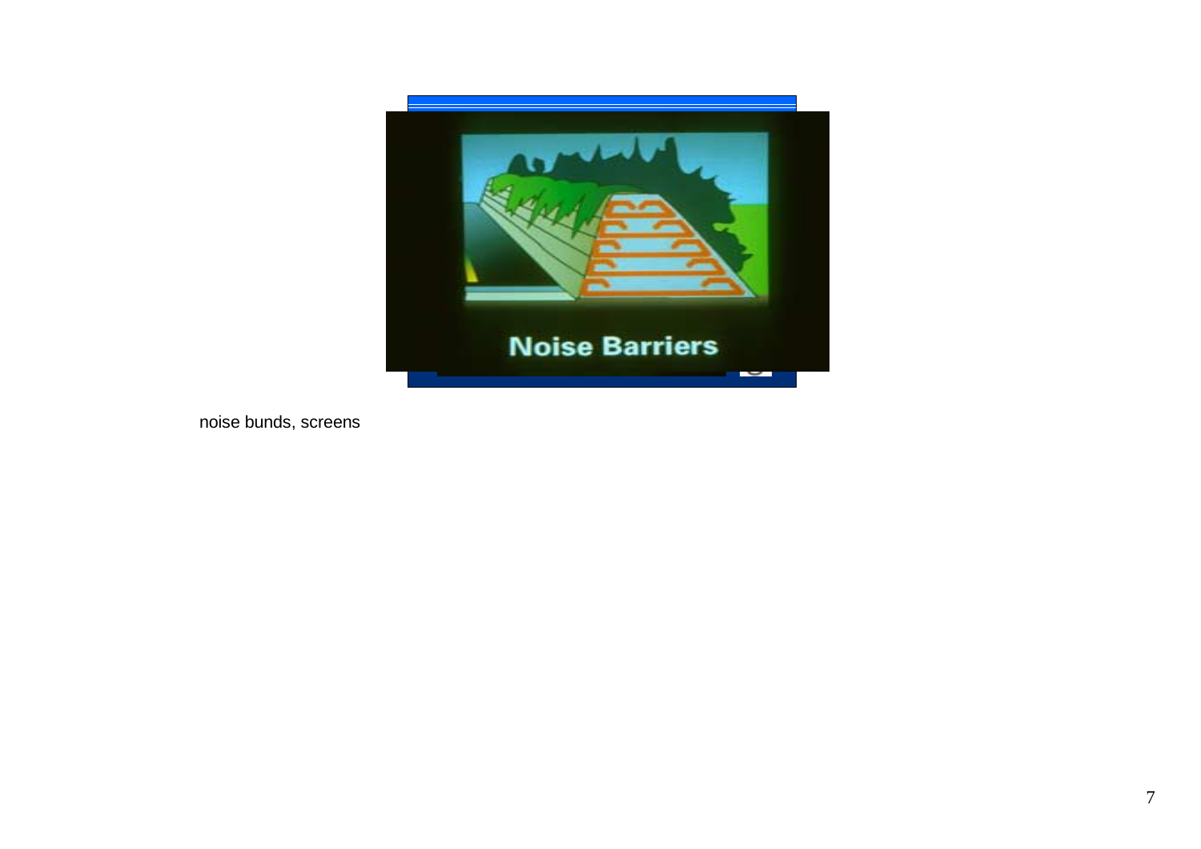

noise bunds, screens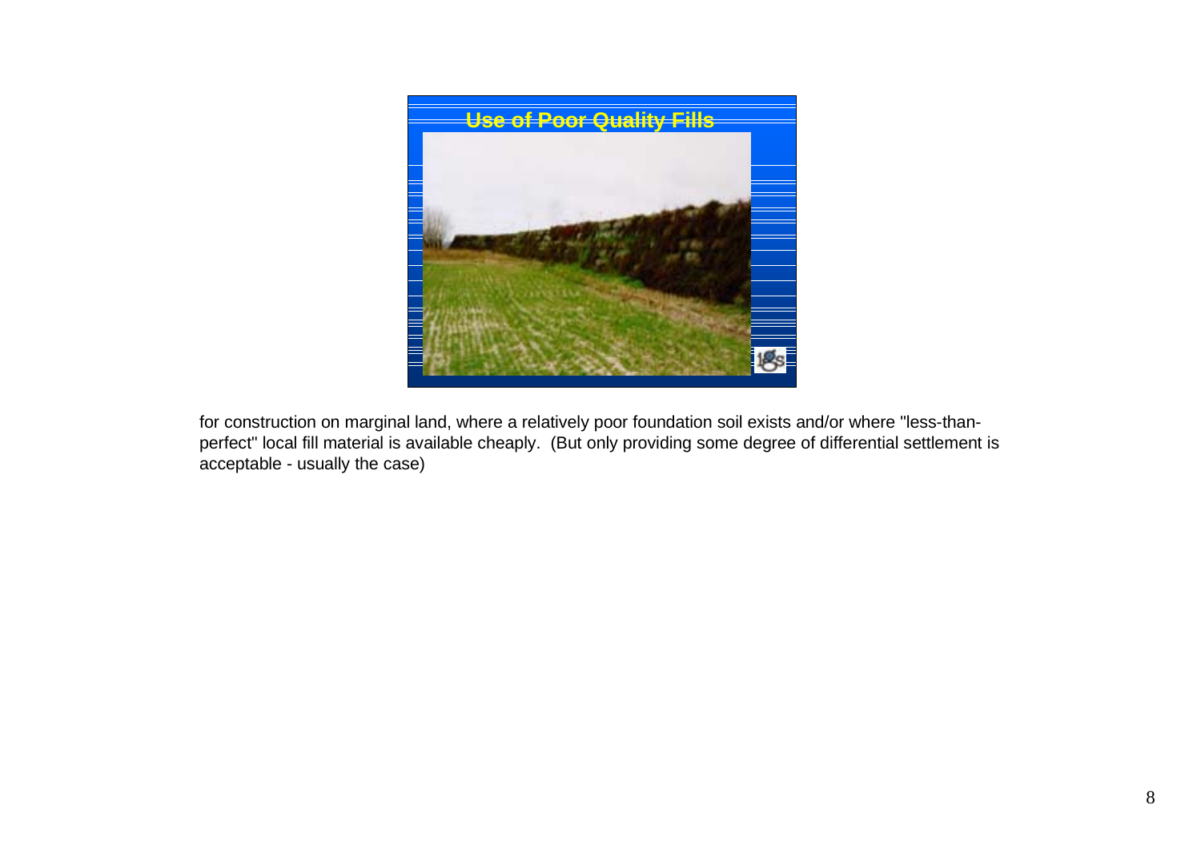

for construction on marginal land, where a relatively poor foundation soil exists and/or where "less-thanperfect" local fill material is available cheaply. (But only providing some degree of differential settlement is acceptable - usually the case)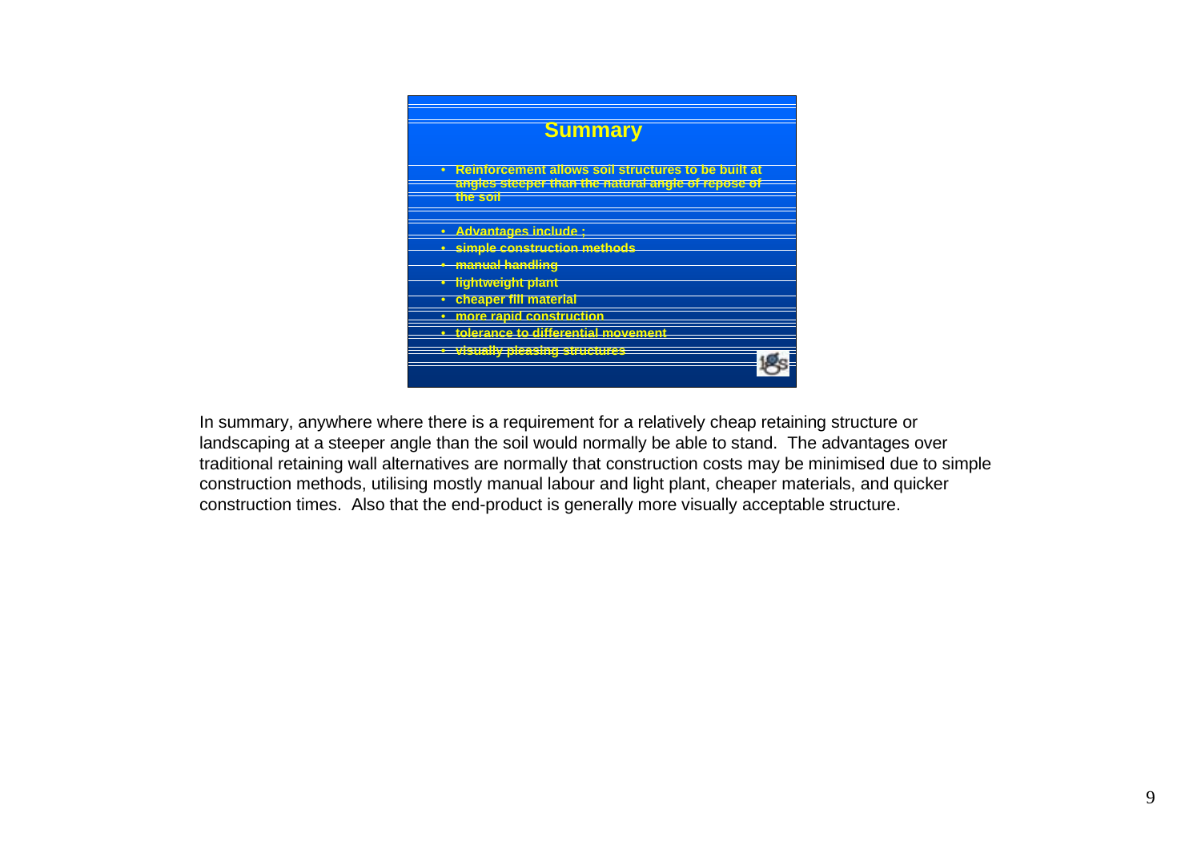

In summary, anywhere where there is a requirement for a relatively cheap retaining structure or landscaping at a steeper angle than the soil would normally be able to stand. The advantages over traditional retaining wall alternatives are normally that construction costs may be minimised due to simple construction methods, utilising mostly manual labour and light plant, cheaper materials, and quicker construction times. Also that the end-product is generally more visually acceptable structure.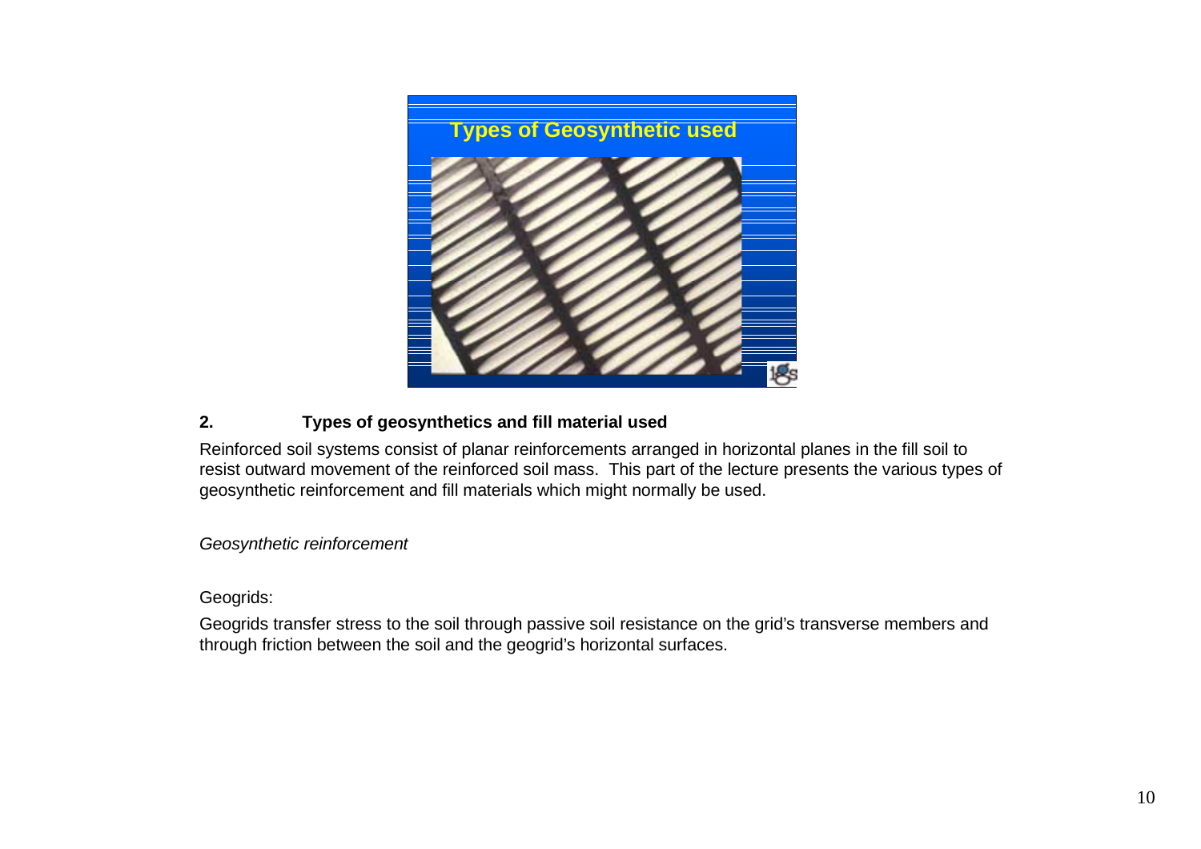

# **2. Types of geosynthetics and fill material used**

Reinforced soil systems consist of planar reinforcements arranged in horizontal planes in the fill soil to resist outward movement of the reinforced soil mass. This part of the lecture presents the various types of geosynthetic reinforcement and fill materials which might normally be used.

Geosynthetic reinforcement

Geogrids:

Geogrids transfer stress to the soil through passive soil resistance on the grid's transverse members and through friction between the soil and the geogrid's horizontal surfaces.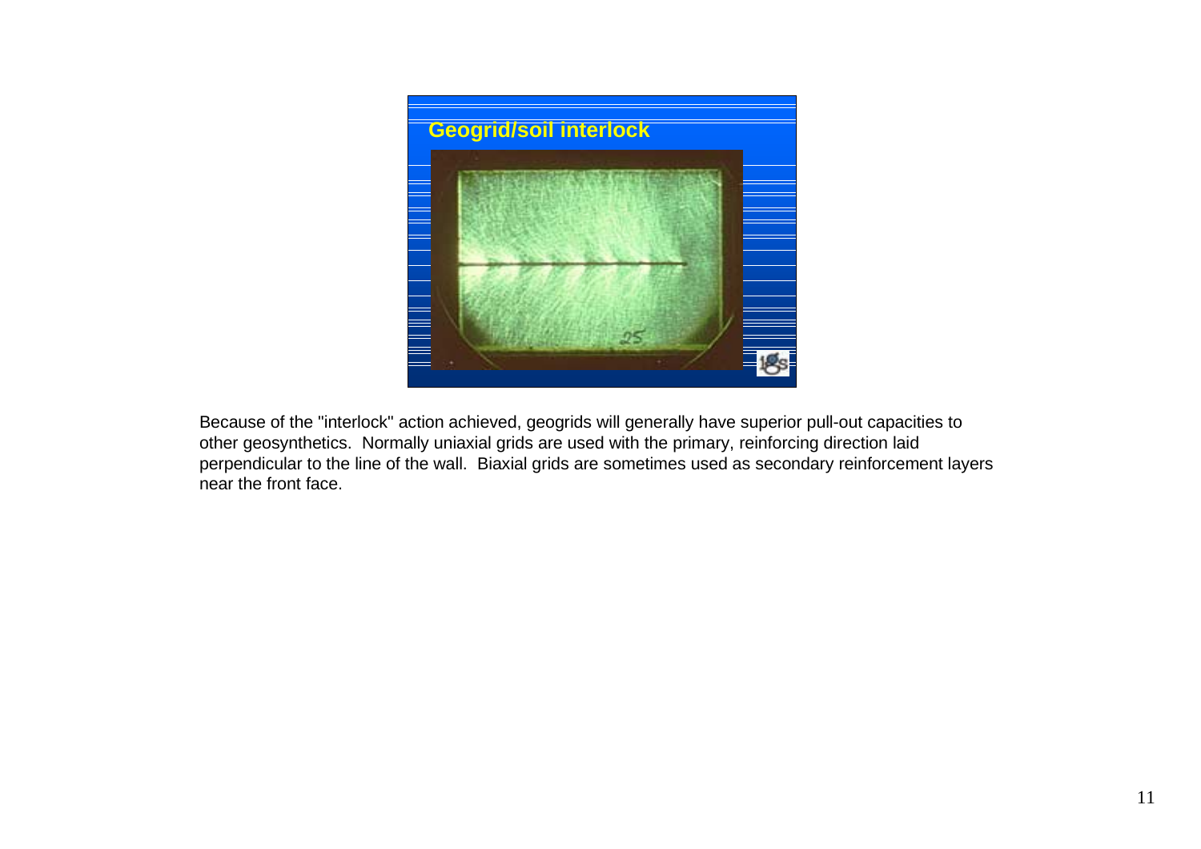

Because of the "interlock" action achieved, geogrids will generally have superior pull-out capacities to other geosynthetics. Normally uniaxial grids are used with the primary, reinforcing direction laid perpendicular to the line of the wall. Biaxial grids are sometimes used as secondary reinforcement layers near the front face.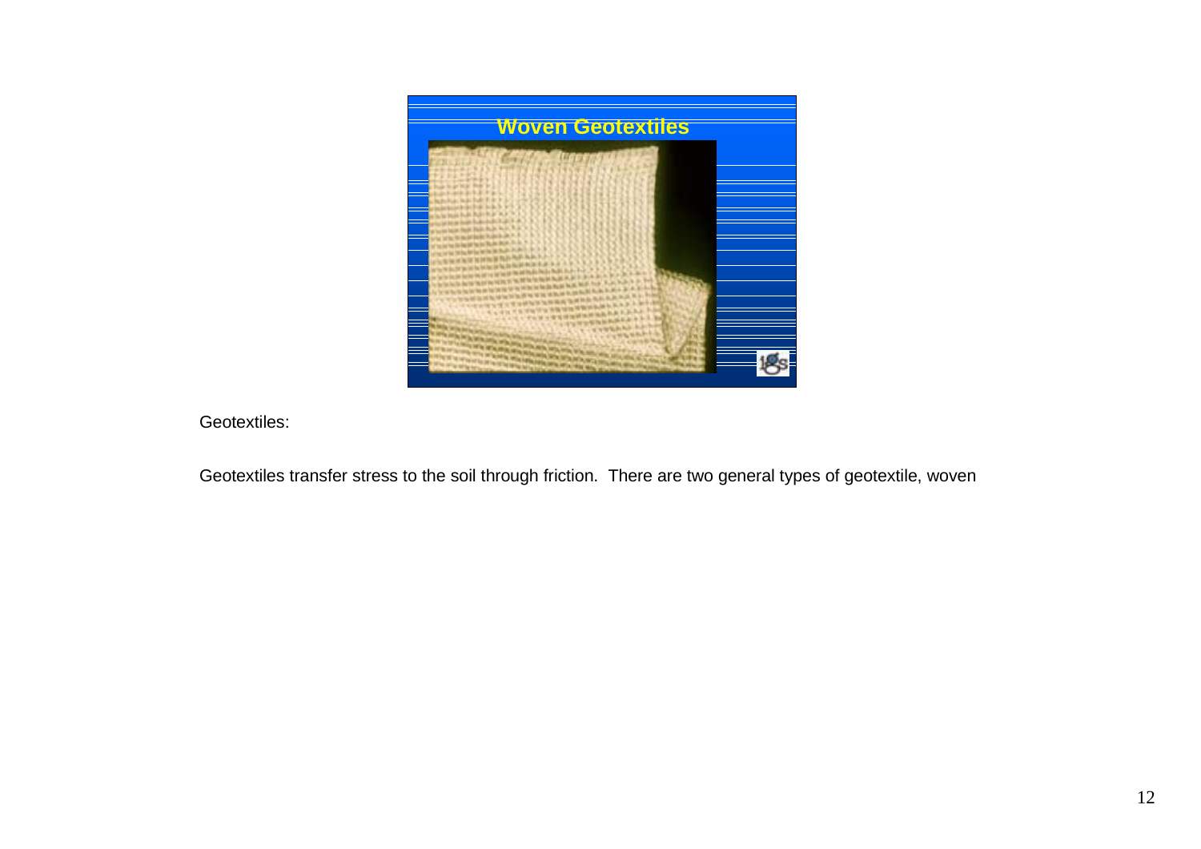

Geotextiles:

Geotextiles transfer stress to the soil through friction. There are two general types of geotextile, woven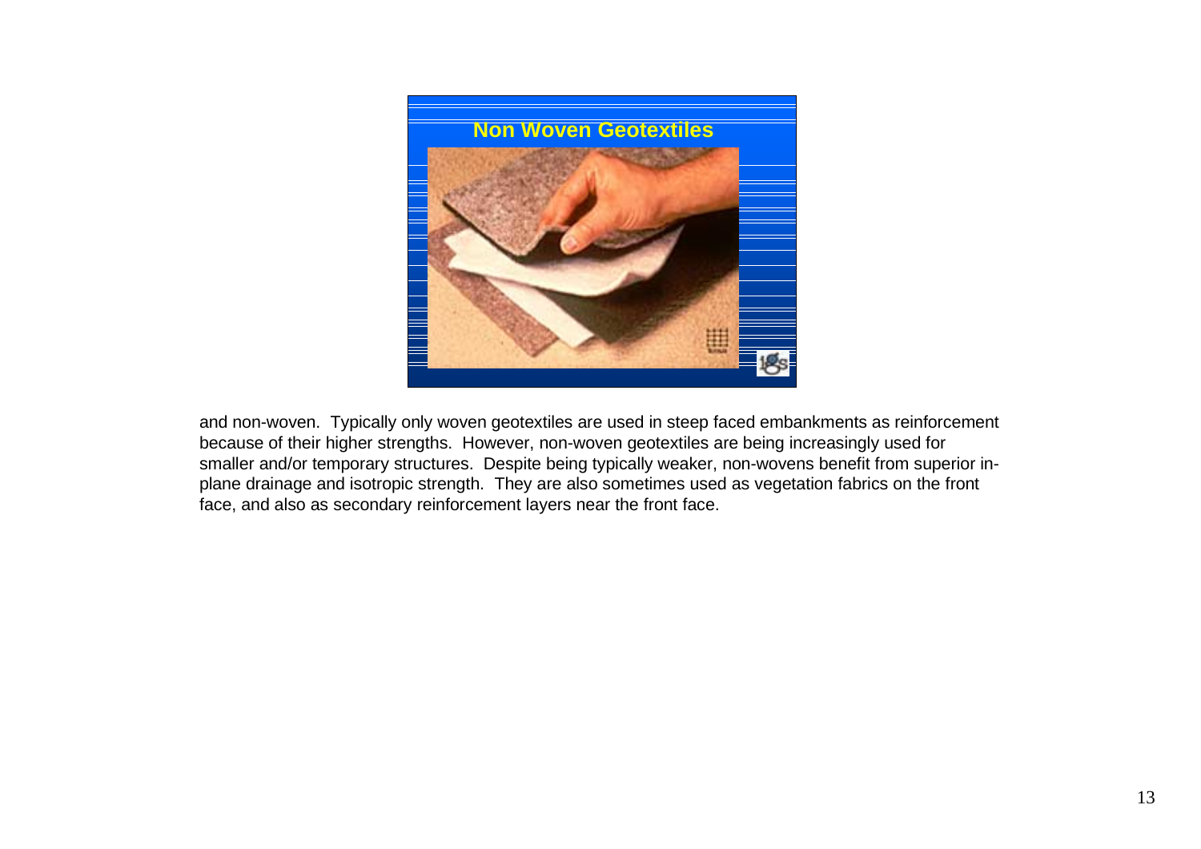

and non-woven. Typically only woven geotextiles are used in steep faced embankments as reinforcement because of their higher strengths. However, non-woven geotextiles are being increasingly used for smaller and/or temporary structures. Despite being typically weaker, non-wovens benefit from superior inplane drainage and isotropic strength. They are also sometimes used as vegetation fabrics on the front face, and also as secondary reinforcement layers near the front face.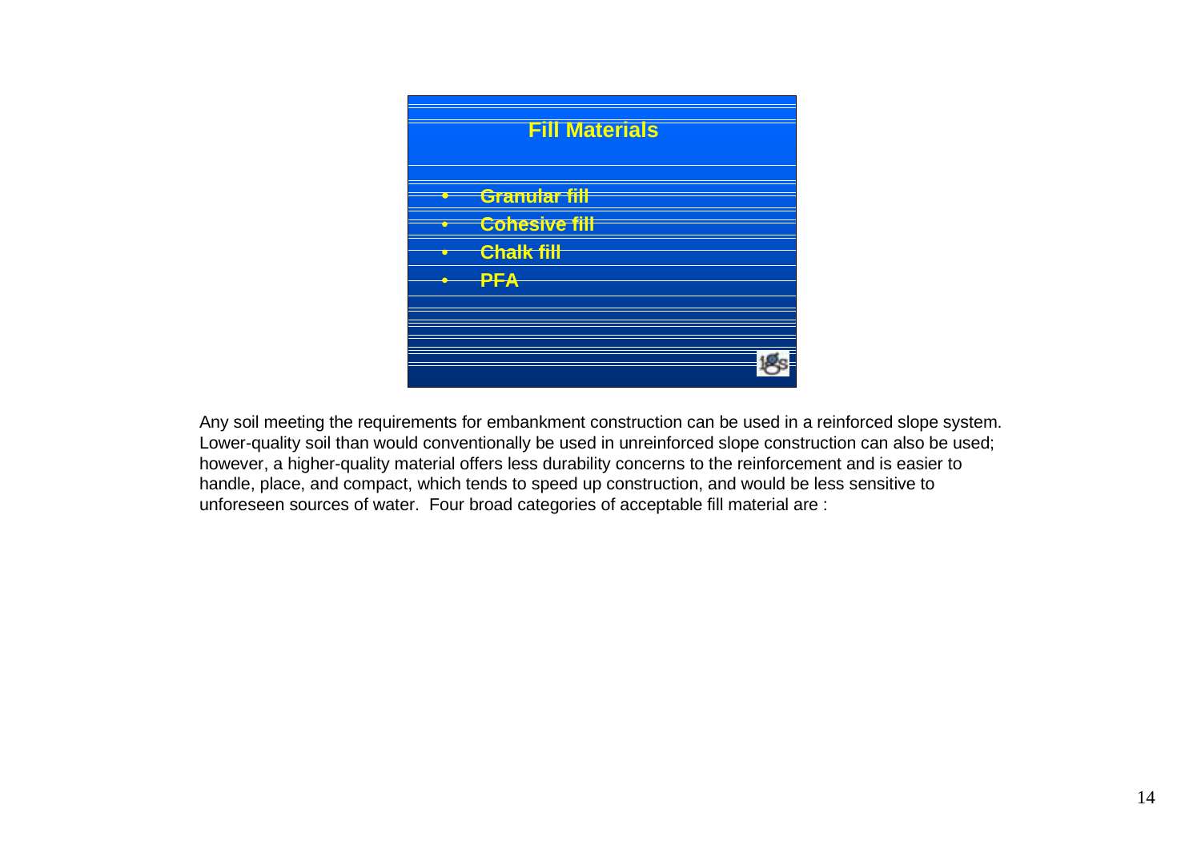

Any soil meeting the requirements for embankment construction can be used in a reinforced slope system. Lower-quality soil than would conventionally be used in unreinforced slope construction can also be used; however, a higher-quality material offers less durability concerns to the reinforcement and is easier to handle, place, and compact, which tends to speed up construction, and would be less sensitive to unforeseen sources of water. Four broad categories of acceptable fill material are :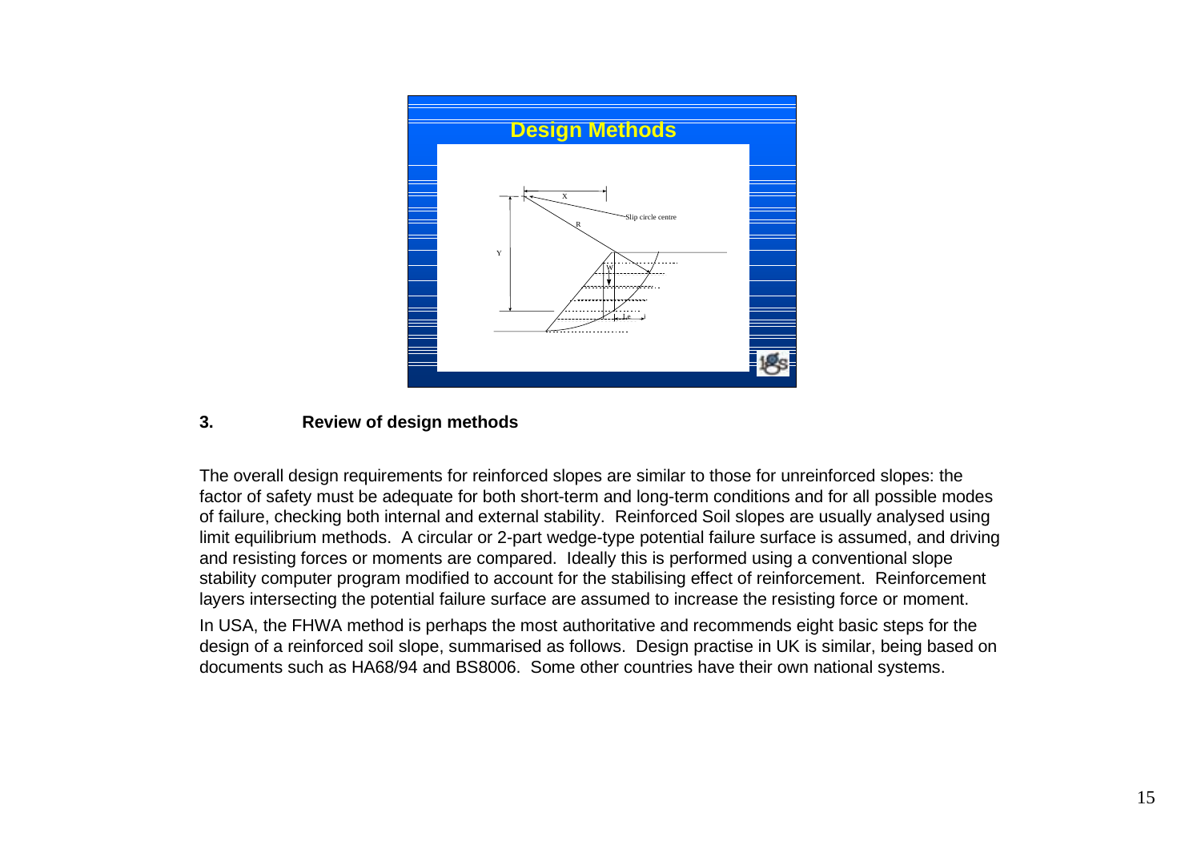

### **3. Review of design methods**

The overall design requirements for reinforced slopes are similar to those for unreinforced slopes: the factor of safety must be adequate for both short-term and long-term conditions and for all possible modes of failure, checking both internal and external stability. Reinforced Soil slopes are usually analysed using limit equilibrium methods. A circular or 2-part wedge-type potential failure surface is assumed, and driving and resisting forces or moments are compared. Ideally this is performed using a conventional slope stability computer program modified to account for the stabilising effect of reinforcement. Reinforcement layers intersecting the potential failure surface are assumed to increase the resisting force or moment.

In USA, the FHWA method is perhaps the most authoritative and recommends eight basic steps for the design of a reinforced soil slope, summarised as follows. Design practise in UK is similar, being based on documents such as HA68/94 and BS8006. Some other countries have their own national systems.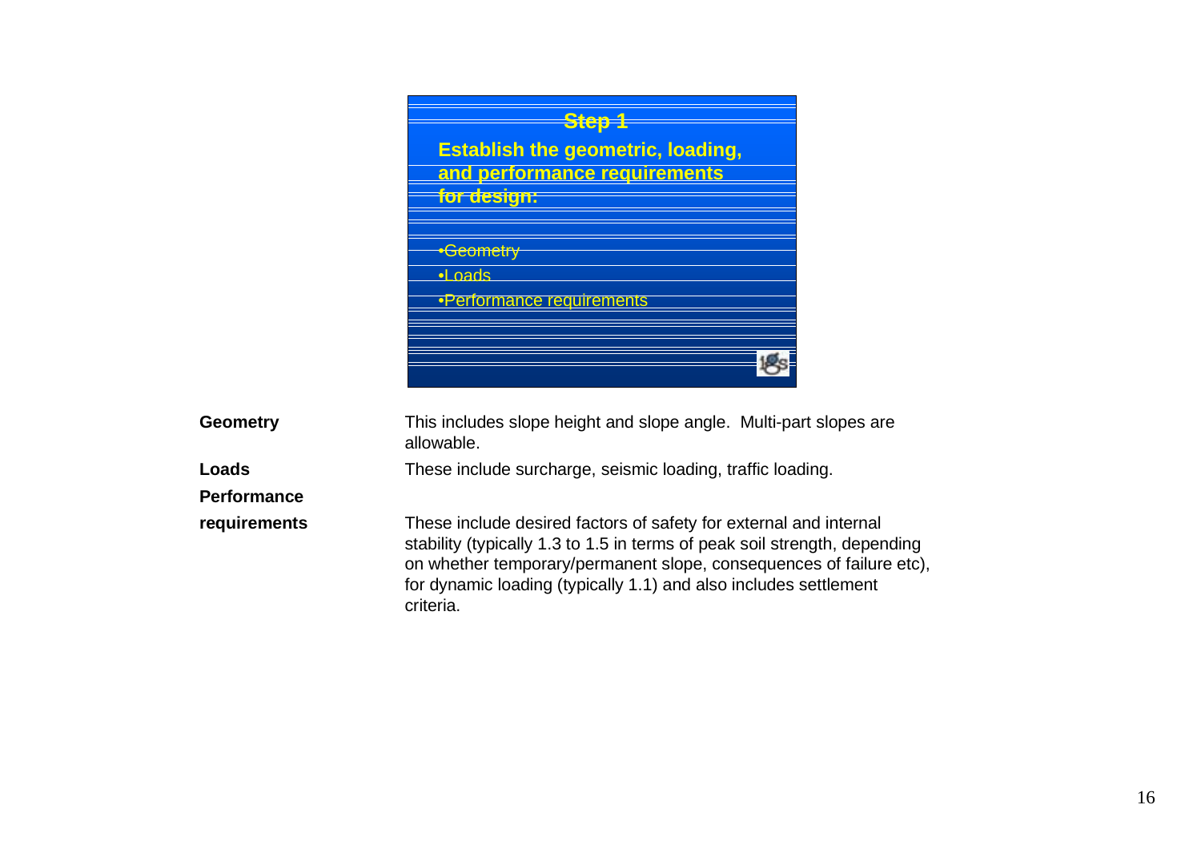

| Geometry           | This includes slope height and slope angle. Multi-part slopes are<br>allowable.                                                                                                                                                                                                                        |
|--------------------|--------------------------------------------------------------------------------------------------------------------------------------------------------------------------------------------------------------------------------------------------------------------------------------------------------|
| Loads              | These include surcharge, seismic loading, traffic loading.                                                                                                                                                                                                                                             |
| <b>Performance</b> |                                                                                                                                                                                                                                                                                                        |
| requirements       | These include desired factors of safety for external and internal<br>stability (typically 1.3 to 1.5 in terms of peak soil strength, depending<br>on whether temporary/permanent slope, consequences of failure etc).<br>for dynamic loading (typically 1.1) and also includes settlement<br>criteria. |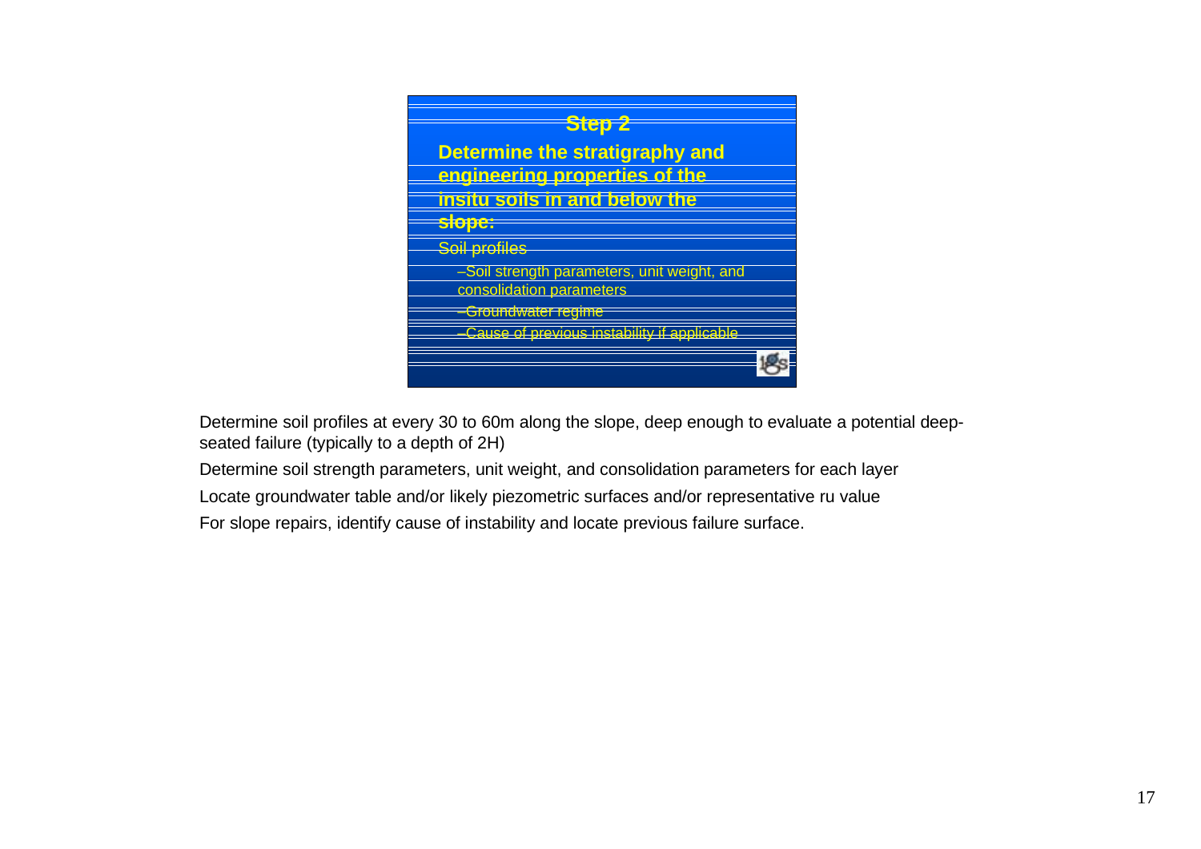

Determine soil profiles at every 30 to 60m along the slope, deep enough to evaluate a potential deepseated failure (typically to a depth of 2H)

Determine soil strength parameters, unit weight, and consolidation parameters for each layer Locate groundwater table and/or likely piezometric surfaces and/or representative ru value For slope repairs, identify cause of instability and locate previous failure surface.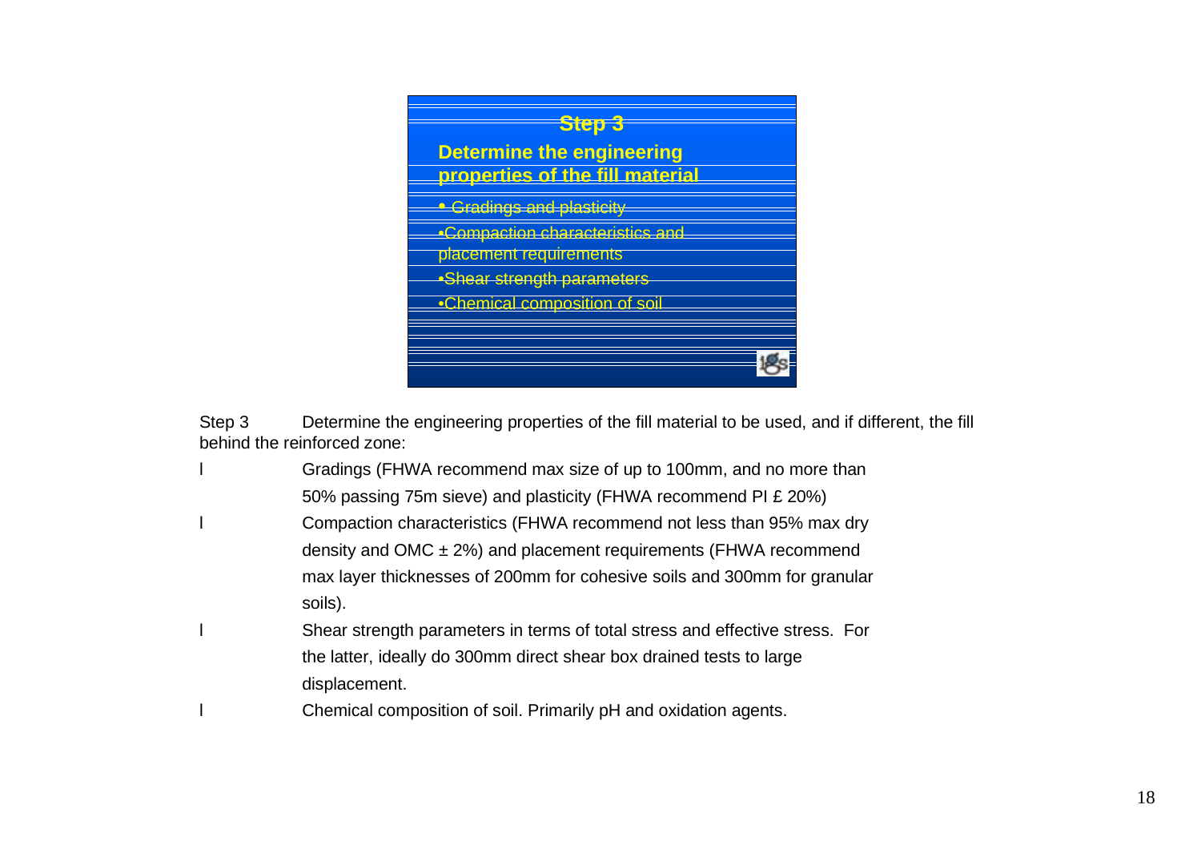

Step 3 Determine the engineering properties of the fill material to be used, and if different, the fill behind the reinforced zone:

- Gradings (FHWA recommend max size of up to 100mm, and no more than 50% passing 75m sieve) and plasticity (FHWA recommend PI £ 20%)
- l Compaction characteristics (FHWA recommend not less than 95% max dry density and OMC  $\pm$  2%) and placement requirements (FHWA recommend max layer thicknesses of 200mm for cohesive soils and 300mm for granular soils).
- Shear strength parameters in terms of total stress and effective stress. For the latter, ideally do 300mm direct shear box drained tests to large displacement.
- Chemical composition of soil. Primarily pH and oxidation agents.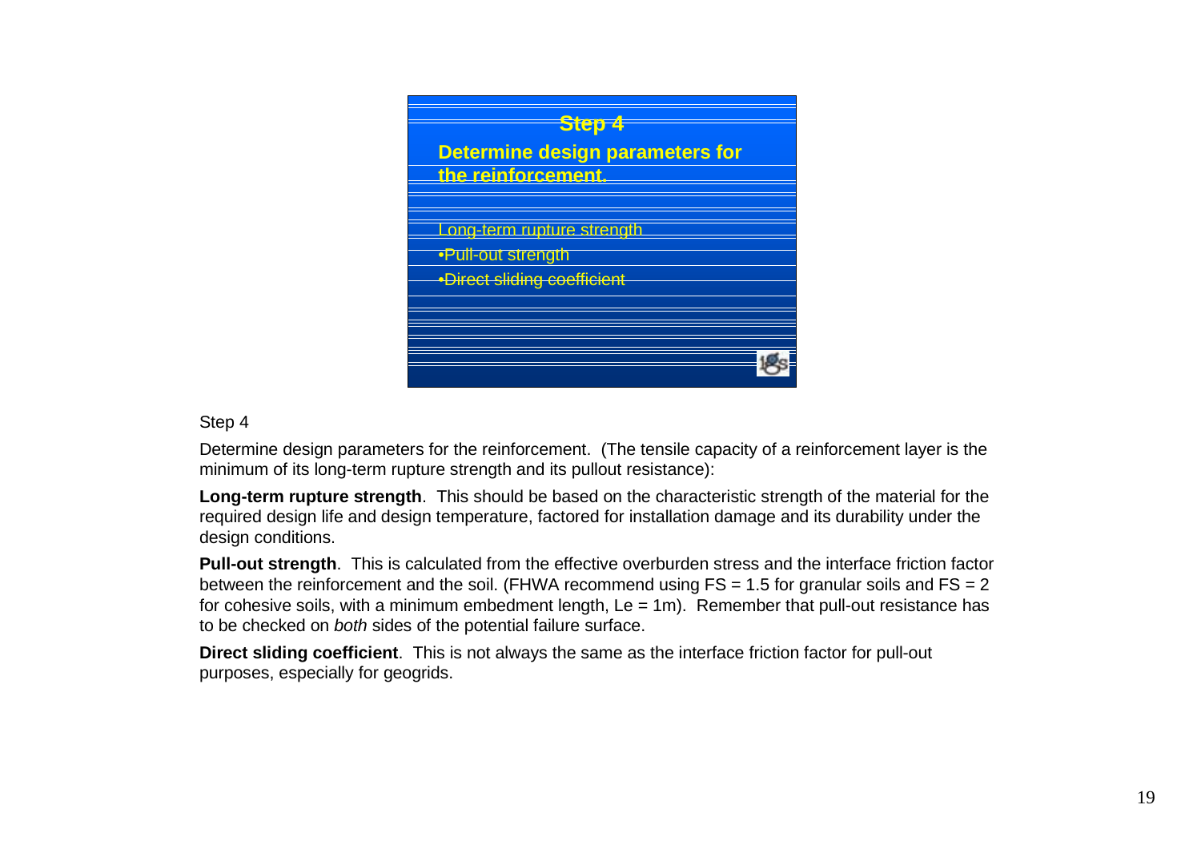

#### Step 4

Determine design parameters for the reinforcement. (The tensile capacity of a reinforcement layer is the minimum of its long-term rupture strength and its pullout resistance):

**Long-term rupture strength**. This should be based on the characteristic strength of the material for the required design life and design temperature, factored for installation damage and its durability under the design conditions.

**Pull-out strength**. This is calculated from the effective overburden stress and the interface friction factor between the reinforcement and the soil. (FHWA recommend using  $FS = 1.5$  for granular soils and  $FS = 2$ for cohesive soils, with a minimum embedment length,  $Le = 1m$ ). Remember that pull-out resistance has to be checked on both sides of the potential failure surface.

**Direct sliding coefficient**. This is not always the same as the interface friction factor for pull-out purposes, especially for geogrids.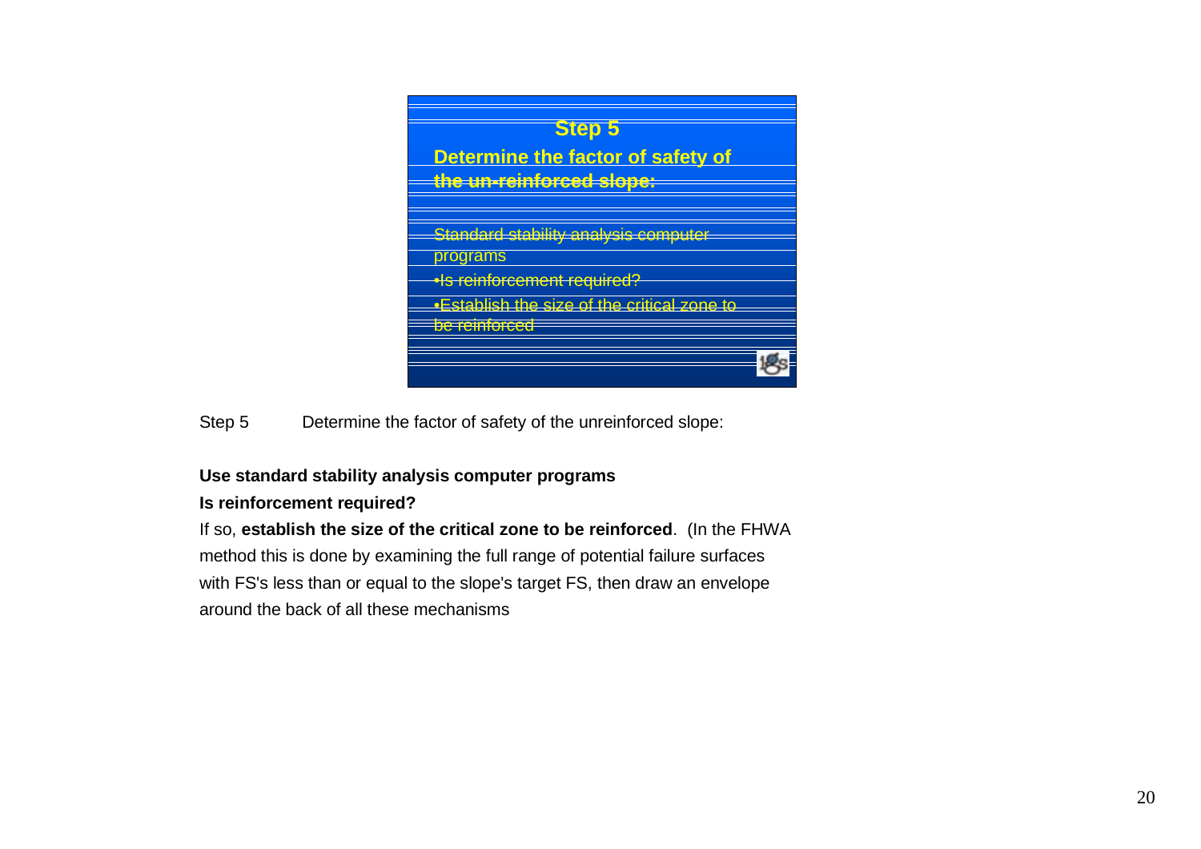

Step 5 Determine the factor of safety of the unreinforced slope:

## **Use standard stability analysis computer programs**

## **Is reinforcement required?**

If so, **establish the size of the critical zone to be reinforced**. (In the FHWA method this is done by examining the full range of potential failure surfaces with FS's less than or equal to the slope's target FS, then draw an envelope around the back of all these mechanisms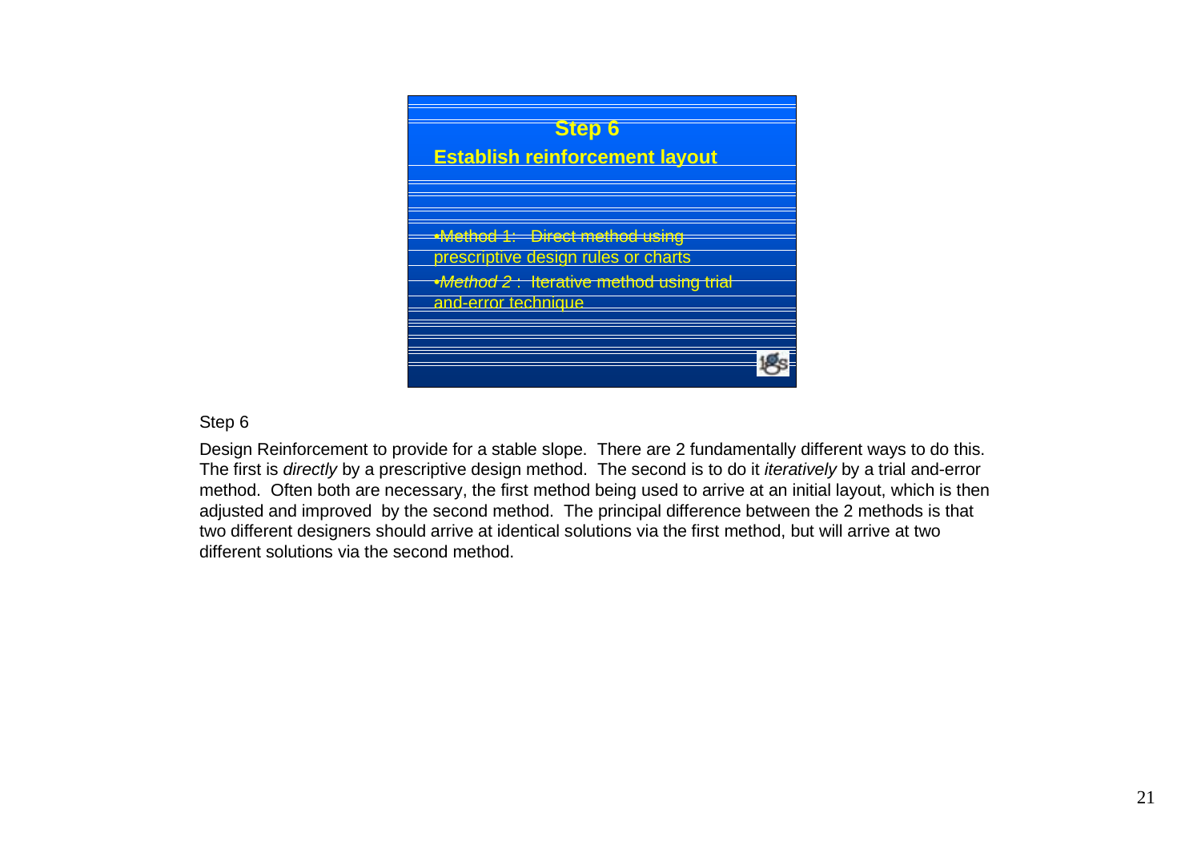

Step 6

Design Reinforcement to provide for a stable slope. There are 2 fundamentally different ways to do this. The first is *directly* by a prescriptive design method. The second is to do it *iteratively* by a trial and-error method. Often both are necessary, the first method being used to arrive at an initial layout, which is then adjusted and improved by the second method. The principal difference between the 2 methods is that two different designers should arrive at identical solutions via the first method, but will arrive at two different solutions via the second method.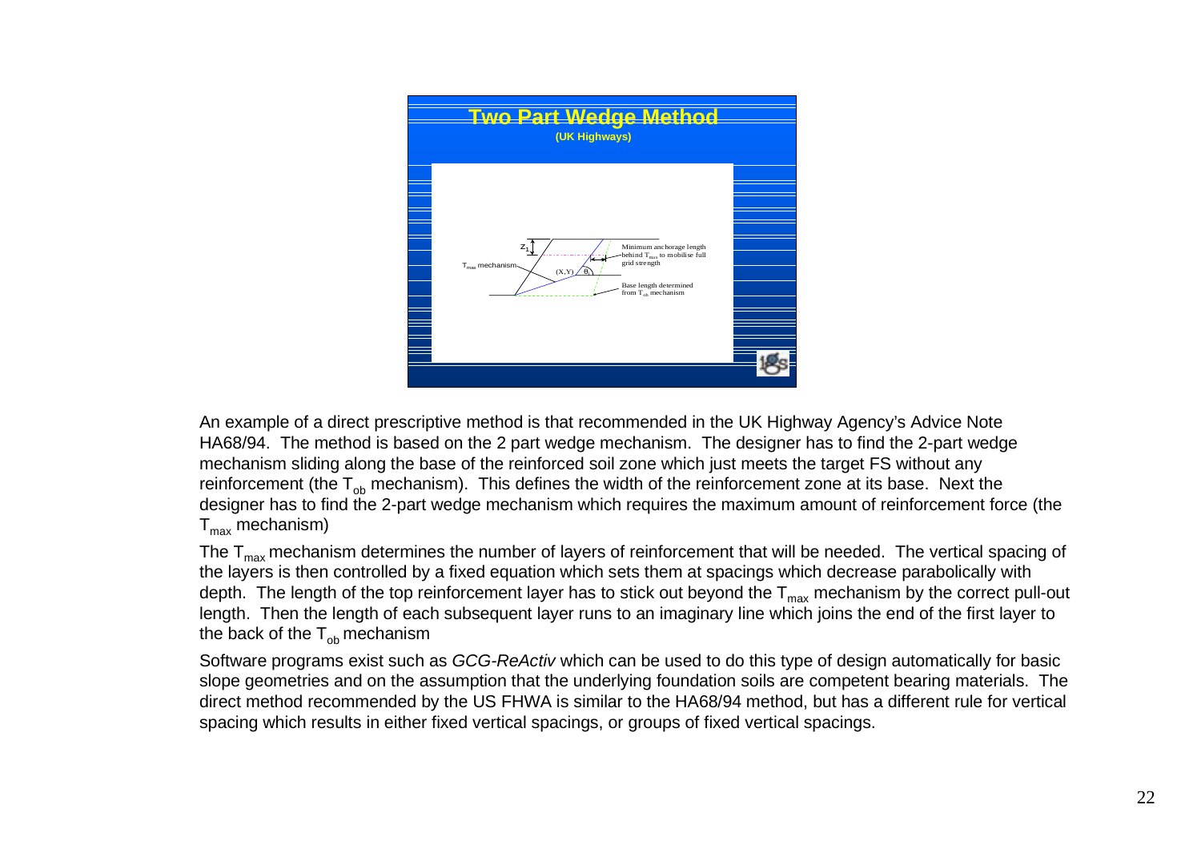

An example of a direct prescriptive method is that recommended in the UK Highway Agency's Advice Note HA68/94. The method is based on the 2 part wedge mechanism. The designer has to find the 2-part wedge mechanism sliding along the base of the reinforced soil zone which just meets the target FS without any reinforcement (the  $T_{\text{ob}}$  mechanism). This defines the width of the reinforcement zone at its base. Next the designer has to find the 2-part wedge mechanism which requires the maximum amount of reinforcement force (the  $T_{max}$  mechanism)

The  $T_{\text{max}}$  mechanism determines the number of layers of reinforcement that will be needed. The vertical spacing of the layers is then controlled by a fixed equation which sets them at spacings which decrease parabolically with depth. The length of the top reinforcement layer has to stick out beyond the  $T_{max}$  mechanism by the correct pull-out length. Then the length of each subsequent layer runs to an imaginary line which joins the end of the first layer to the back of the  $T_{\text{ob}}$  mechanism

Software programs exist such as GCG-ReActiv which can be used to do this type of design automatically for basic slope geometries and on the assumption that the underlying foundation soils are competent bearing materials. The direct method recommended by the US FHWA is similar to the HA68/94 method, but has a different rule for vertical spacing which results in either fixed vertical spacings, or groups of fixed vertical spacings.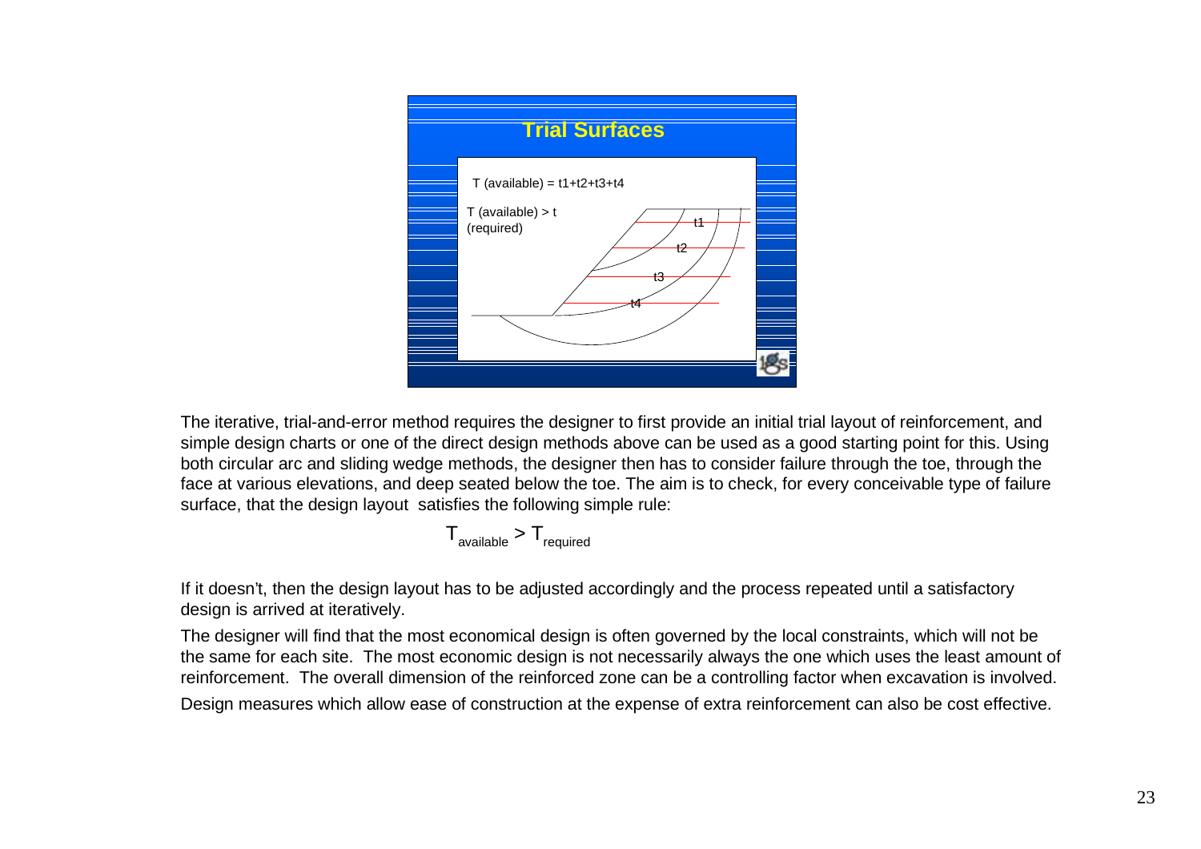

The iterative, trial-and-error method requires the designer to first provide an initial trial layout of reinforcement, and simple design charts or one of the direct design methods above can be used as a good starting point for this. Using both circular arc and sliding wedge methods, the designer then has to consider failure through the toe, through the face at various elevations, and deep seated below the toe. The aim is to check, for every conceivable type of failure surface, that the design layout satisfies the following simple rule:

$$
T_{\text{available}} > T_{\text{required}}
$$

If it doesn't, then the design layout has to be adjusted accordingly and the process repeated until a satisfactory design is arrived at iteratively.

The designer will find that the most economical design is often governed by the local constraints, which will not be the same for each site. The most economic design is not necessarily always the one which uses the least amount of reinforcement. The overall dimension of the reinforced zone can be a controlling factor when excavation is involved.

Design measures which allow ease of construction at the expense of extra reinforcement can also be cost effective.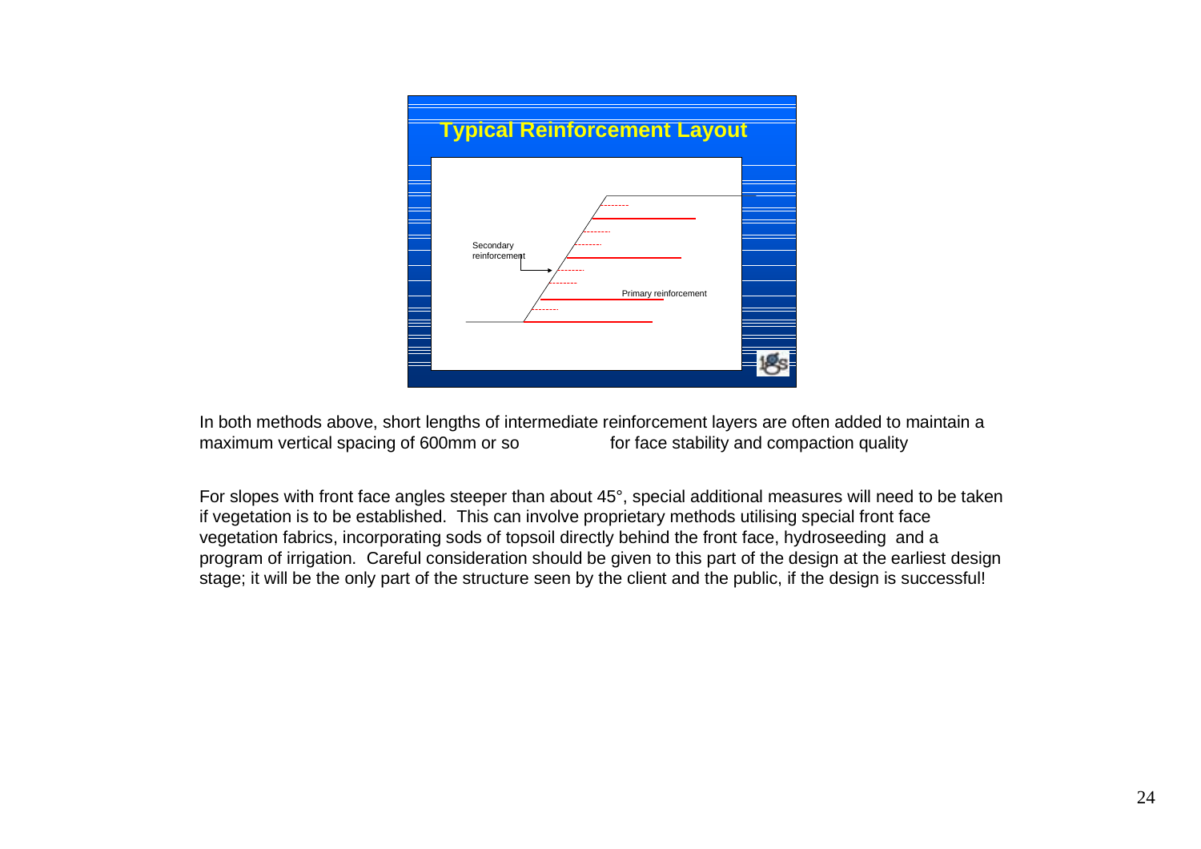

In both methods above, short lengths of intermediate reinforcement layers are often added to maintain a maximum vertical spacing of 600mm or so for face stability and compaction quality

For slopes with front face angles steeper than about 45°, special additional measures will need to be taken if vegetation is to be established. This can involve proprietary methods utilising special front face vegetation fabrics, incorporating sods of topsoil directly behind the front face, hydroseeding and a program of irrigation. Careful consideration should be given to this part of the design at the earliest design stage; it will be the only part of the structure seen by the client and the public, if the design is successful!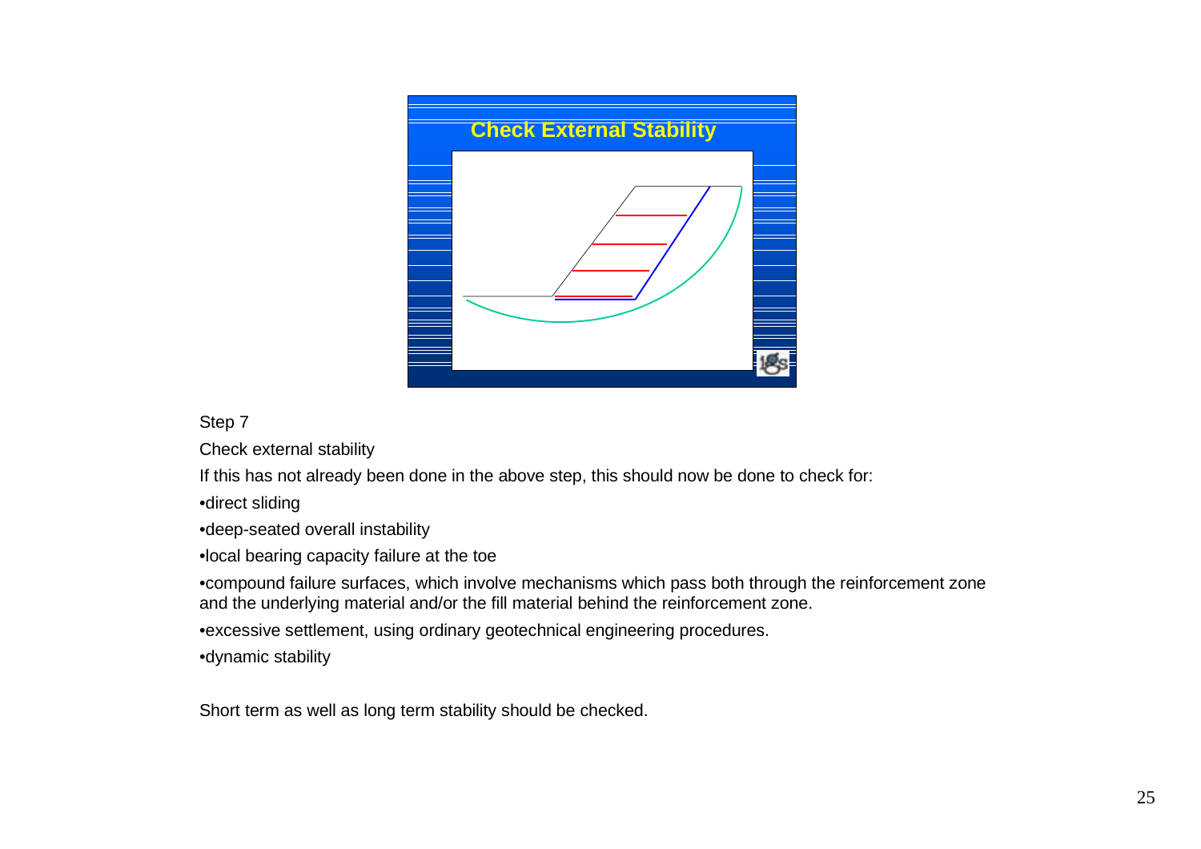

Step 7

Check external stability

If this has not already been done in the above step, this should now be done to check for:

•direct sliding

•deep-seated overall instability

•local bearing capacity failure at the toe

•compound failure surfaces, which involve mechanisms which pass both through the reinforcement zone and the underlying material and/or the fill material behind the reinforcement zone.

•excessive settlement, using ordinary geotechnical engineering procedures.

•dynamic stability

Short term as well as long term stability should be checked.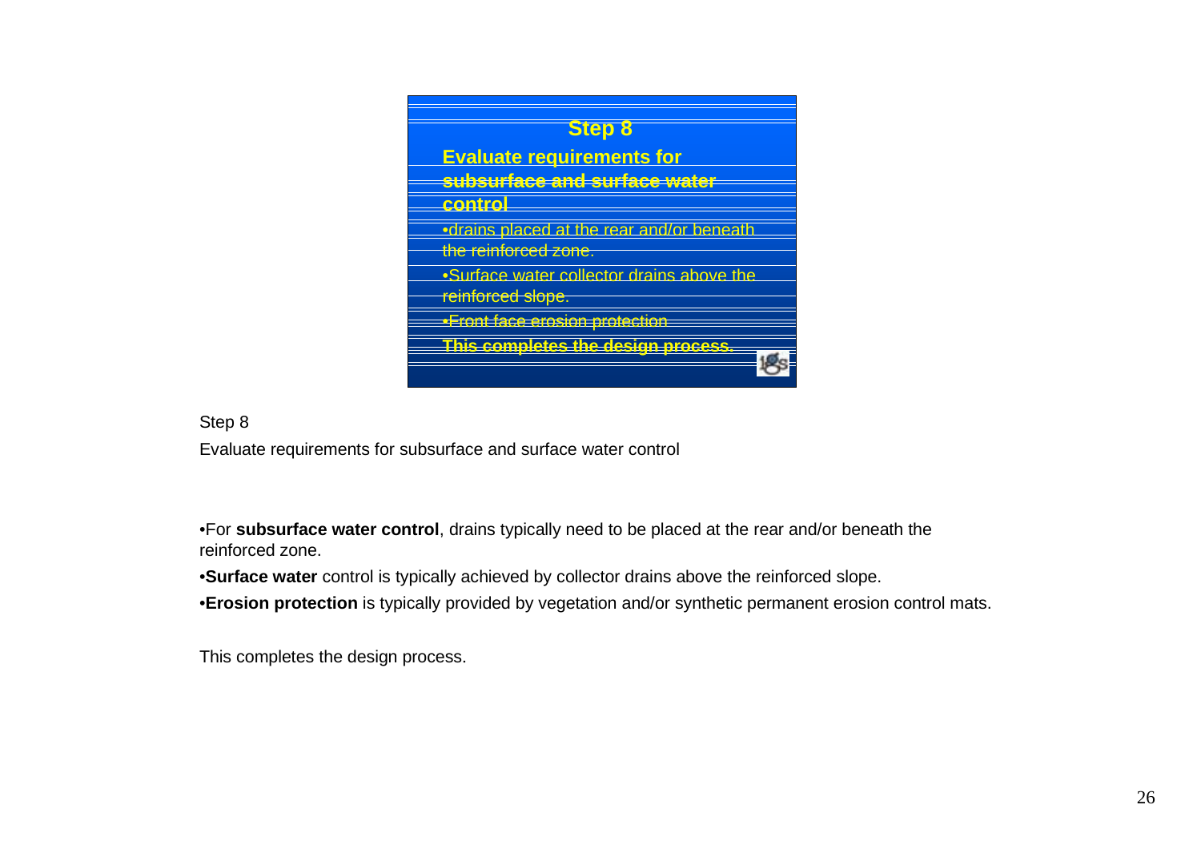

Step 8

Evaluate requirements for subsurface and surface water control

•For **subsurface water control**, drains typically need to be placed at the rear and/or beneath the reinforced zone.

•**Surface water** control is typically achieved by collector drains above the reinforced slope.

•**Erosion protection** is typically provided by vegetation and/or synthetic permanent erosion control mats.

This completes the design process.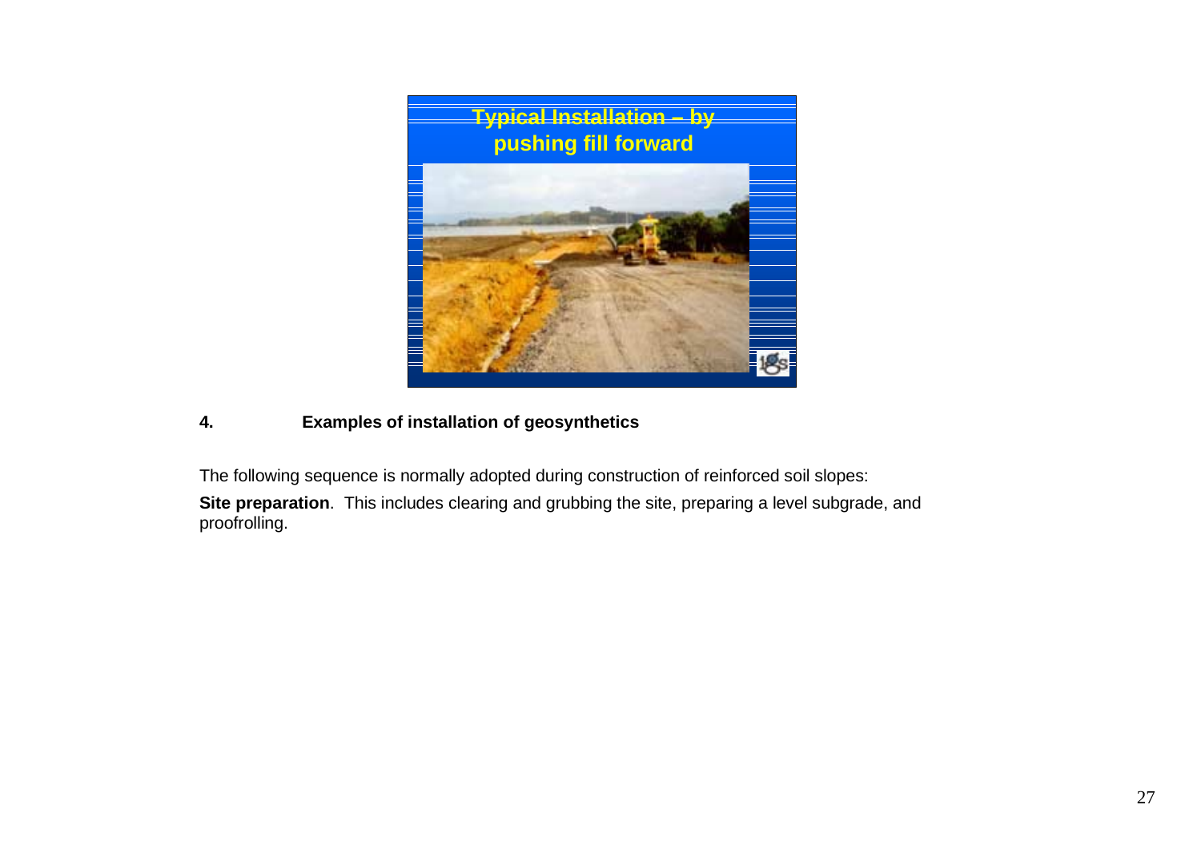

# **4. Examples of installation of geosynthetics**

The following sequence is normally adopted during construction of reinforced soil slopes:

**Site preparation**. This includes clearing and grubbing the site, preparing a level subgrade, and proofrolling.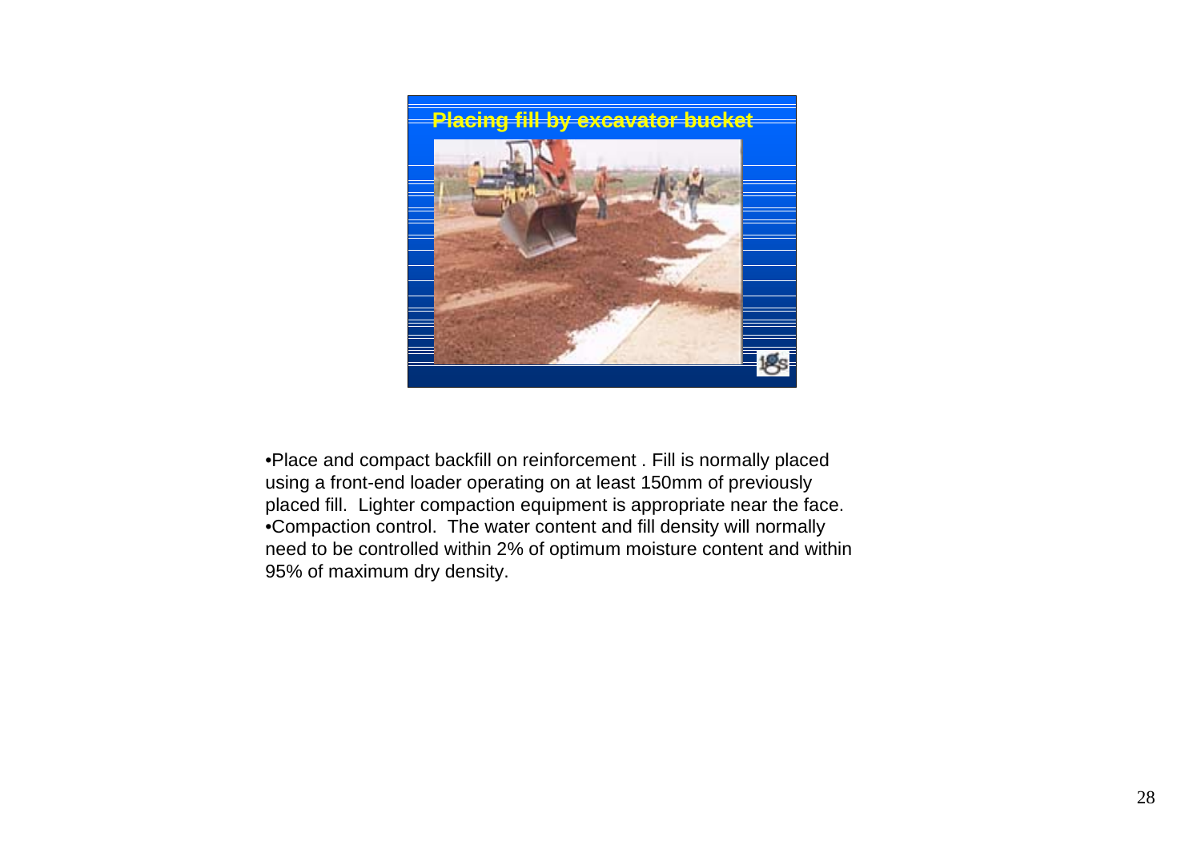

•Place and compact backfill on reinforcement . Fill is normally placed using a front-end loader operating on at least 150mm of previously placed fill. Lighter compaction equipment is appropriate near the face. •Compaction control. The water content and fill density will normally need to be controlled within 2% of optimum moisture content and within 95% of maximum dry density.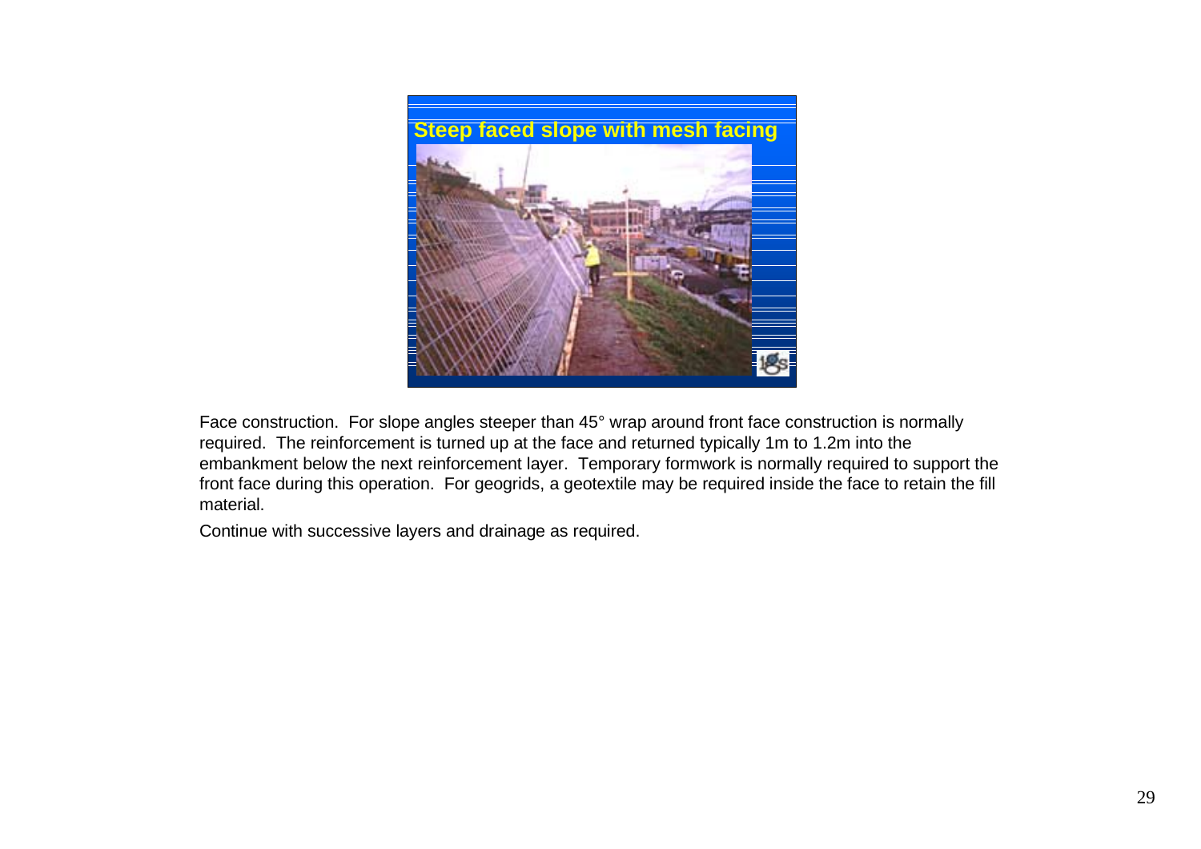

Face construction. For slope angles steeper than 45° wrap around front face construction is normally required. The reinforcement is turned up at the face and returned typically 1m to 1.2m into the embankment below the next reinforcement layer. Temporary formwork is normally required to support the front face during this operation. For geogrids, a geotextile may be required inside the face to retain the fill material.

Continue with successive layers and drainage as required.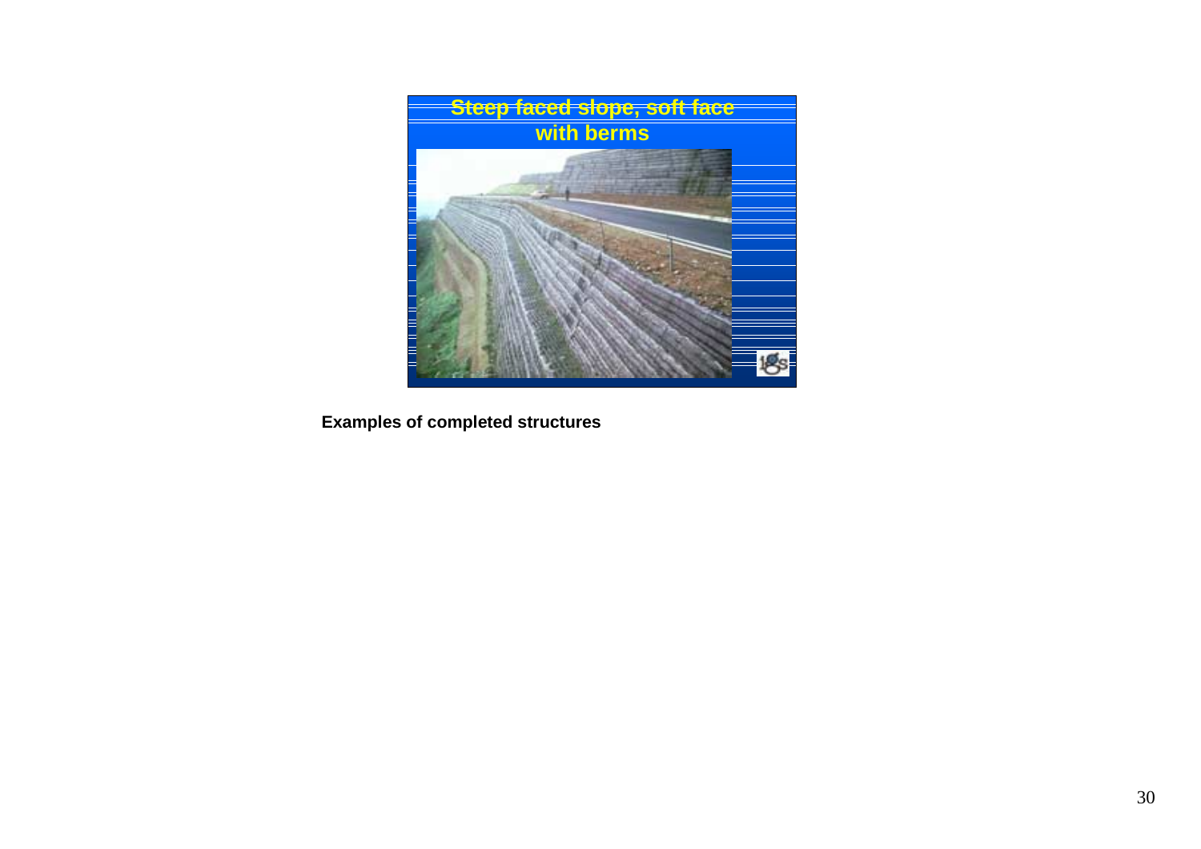

**Examples of completed structures**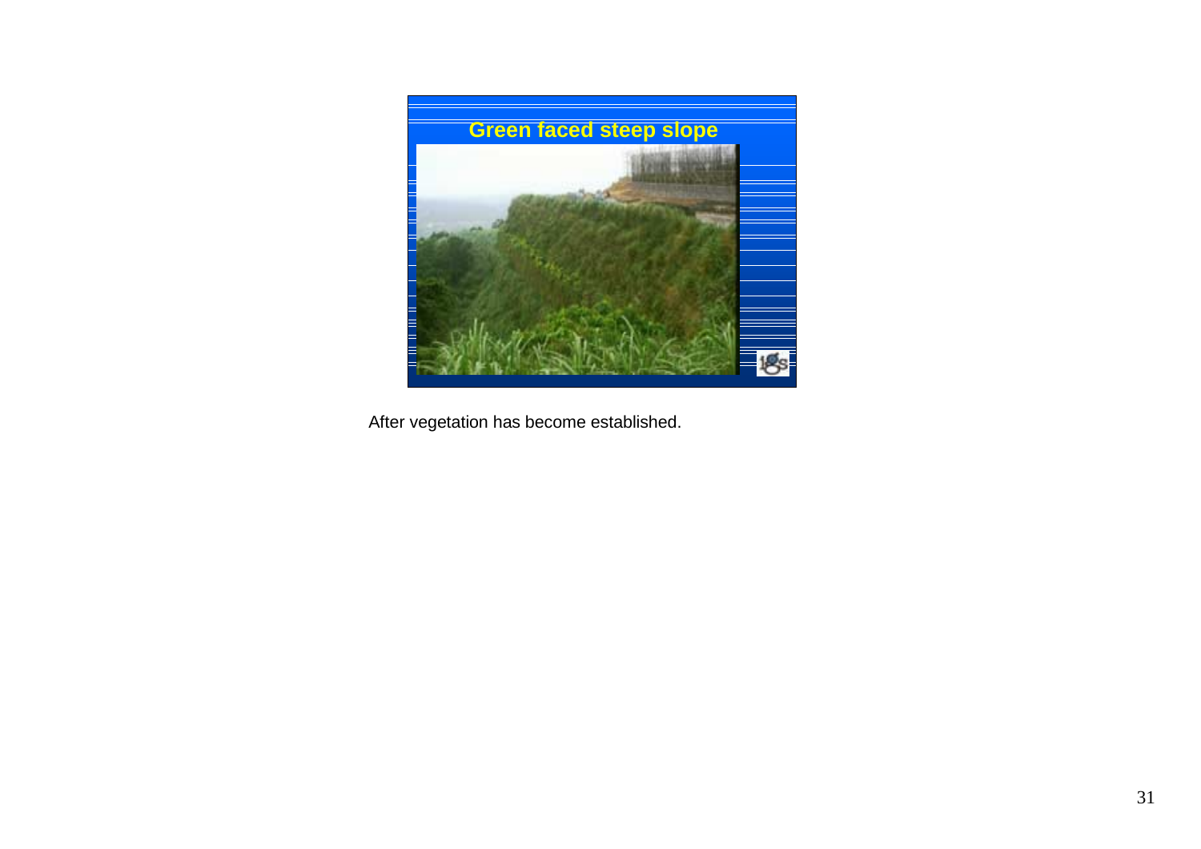

After vegetation has become established.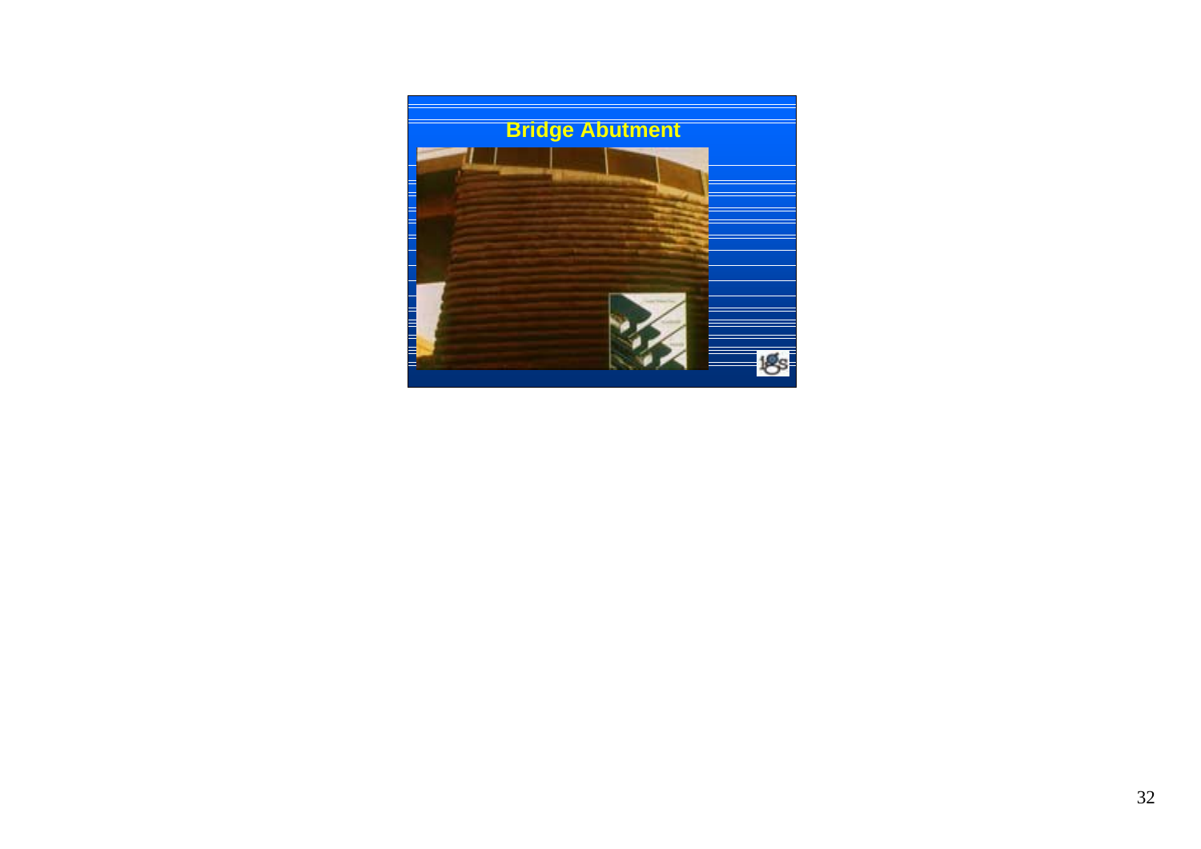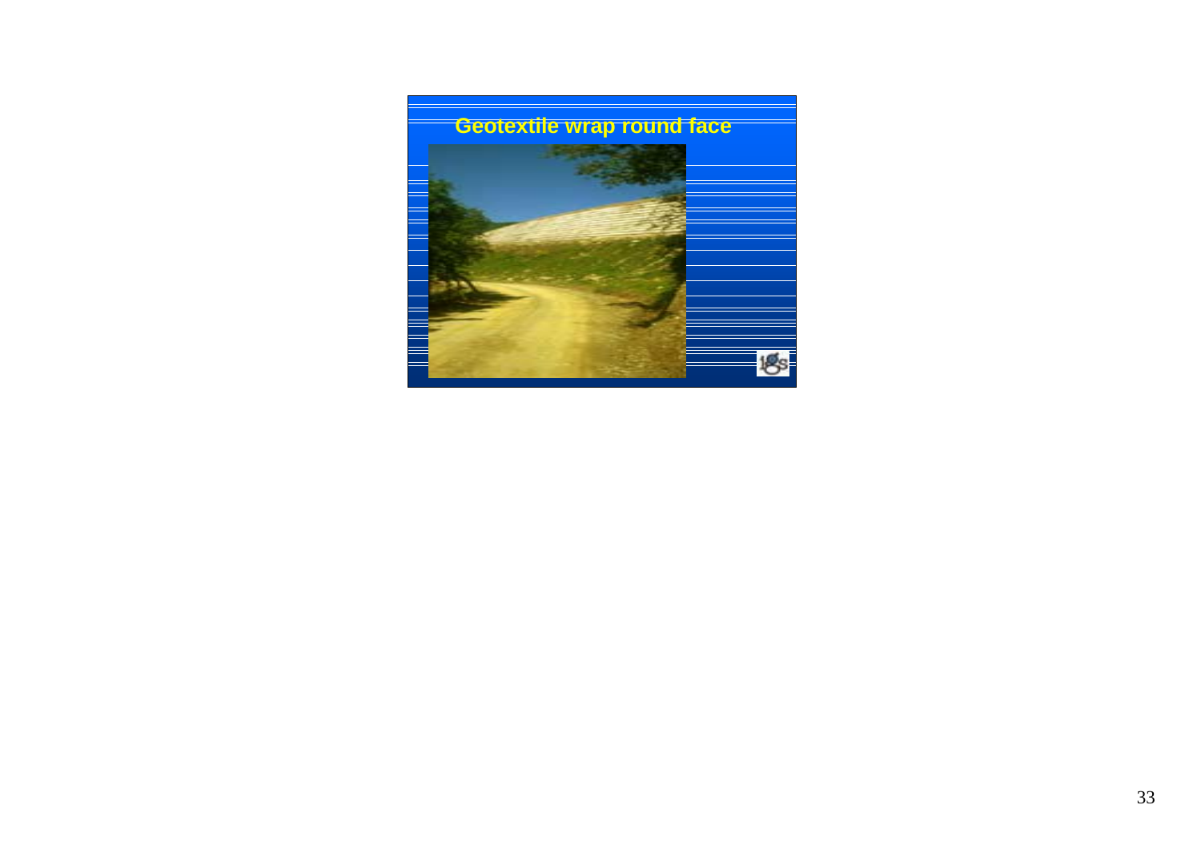